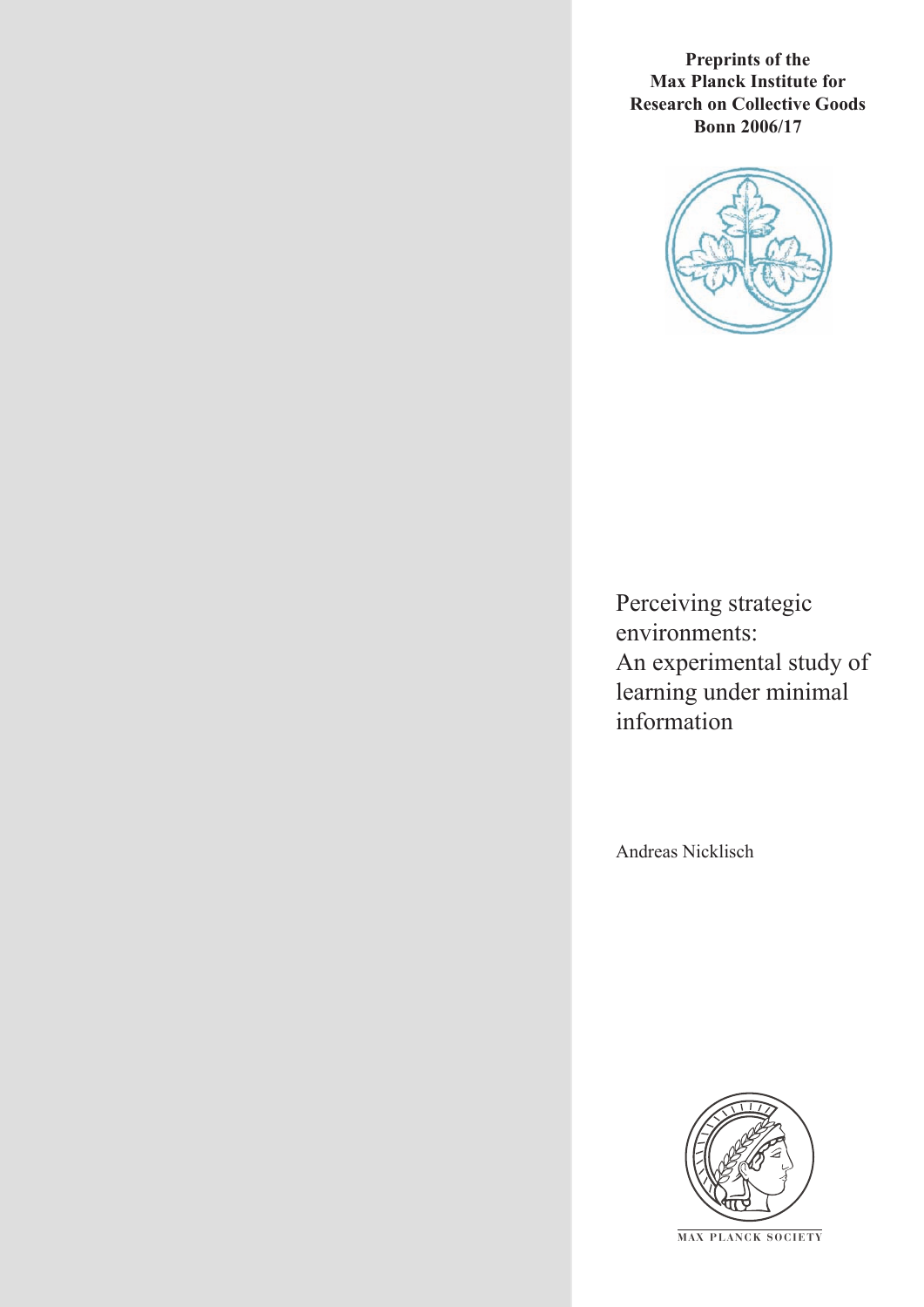**Preprints of the Max Planck Institute for Research on Collective Goods Bonn 2006/17**



Perceiving strategic environments: An experimental study of learning under minimal information

Andreas Nicklisch



**M AX P L A N C K S O C I E T Y**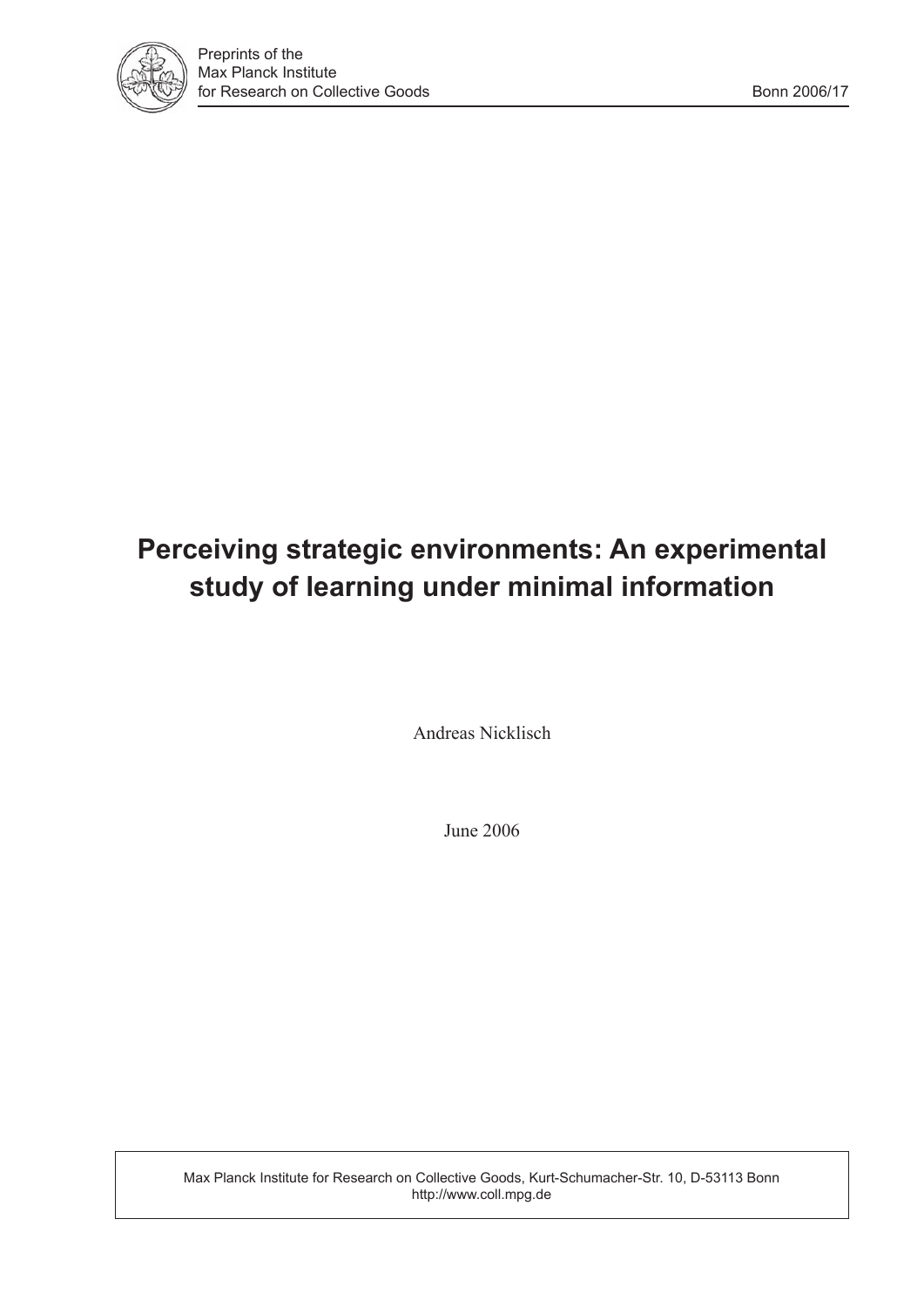

# **Perceiving strategic environments: An experimental study of learning under minimal information**

Andreas Nicklisch

June 2006

Max Planck Institute for Research on Collective Goods, Kurt-Schumacher-Str. 10, D-53113 Bonn http://www.coll.mpg.de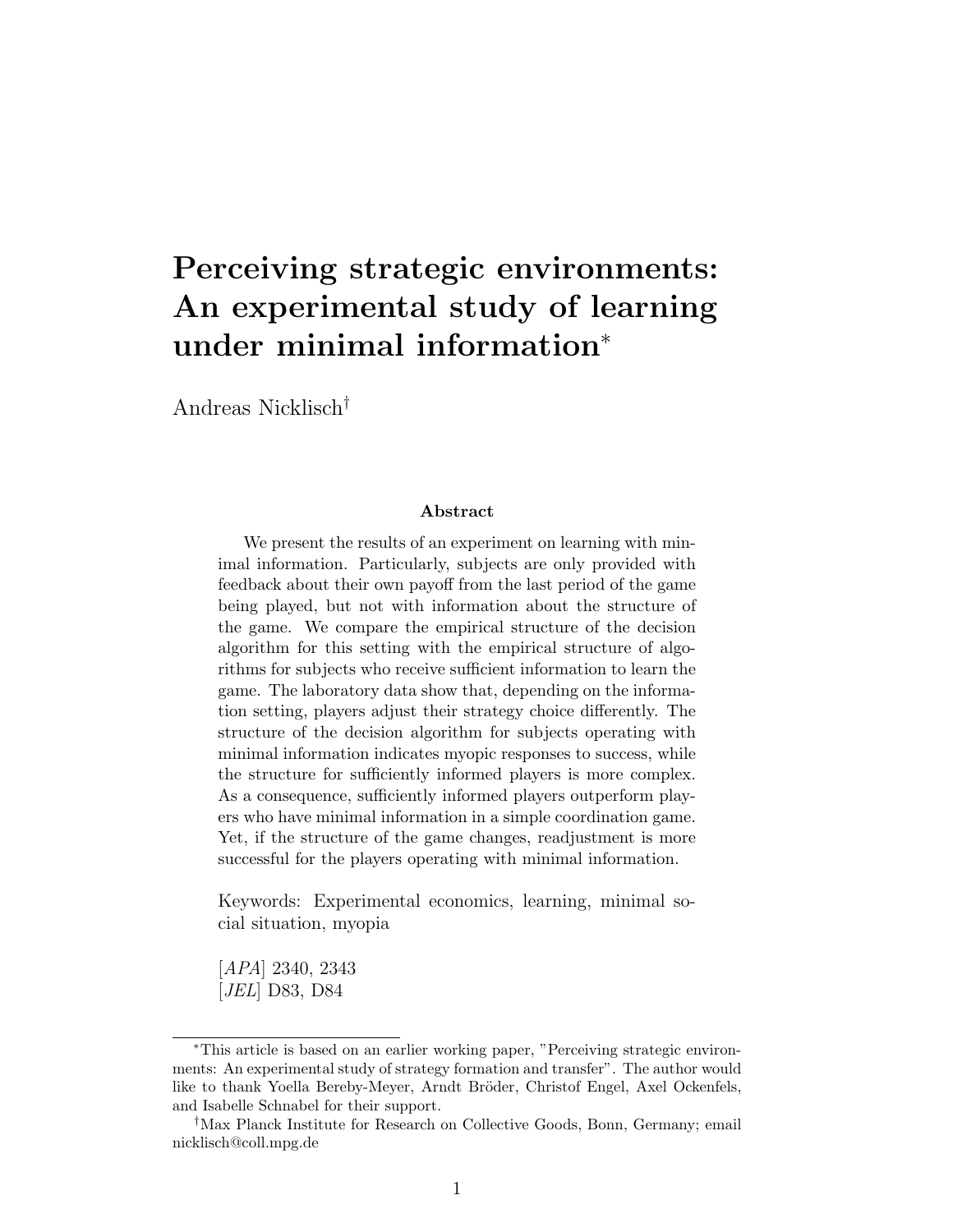# Perceiving strategic environments: An experimental study of learning under minimal information<sup>∗</sup>

Andreas Nicklisch†

#### Abstract

We present the results of an experiment on learning with minimal information. Particularly, subjects are only provided with feedback about their own payoff from the last period of the game being played, but not with information about the structure of the game. We compare the empirical structure of the decision algorithm for this setting with the empirical structure of algorithms for subjects who receive sufficient information to learn the game. The laboratory data show that, depending on the information setting, players adjust their strategy choice differently. The structure of the decision algorithm for subjects operating with minimal information indicates myopic responses to success, while the structure for sufficiently informed players is more complex. As a consequence, sufficiently informed players outperform players who have minimal information in a simple coordination game. Yet, if the structure of the game changes, readjustment is more successful for the players operating with minimal information.

Keywords: Experimental economics, learning, minimal social situation, myopia

[APA] 2340, 2343 [JEL] D83, D84

<sup>∗</sup>This article is based on an earlier working paper, "Perceiving strategic environments: An experimental study of strategy formation and transfer". The author would like to thank Yoella Bereby-Meyer, Arndt Bröder, Christof Engel, Axel Ockenfels, and Isabelle Schnabel for their support.

<sup>†</sup>Max Planck Institute for Research on Collective Goods, Bonn, Germany; email nicklisch@coll.mpg.de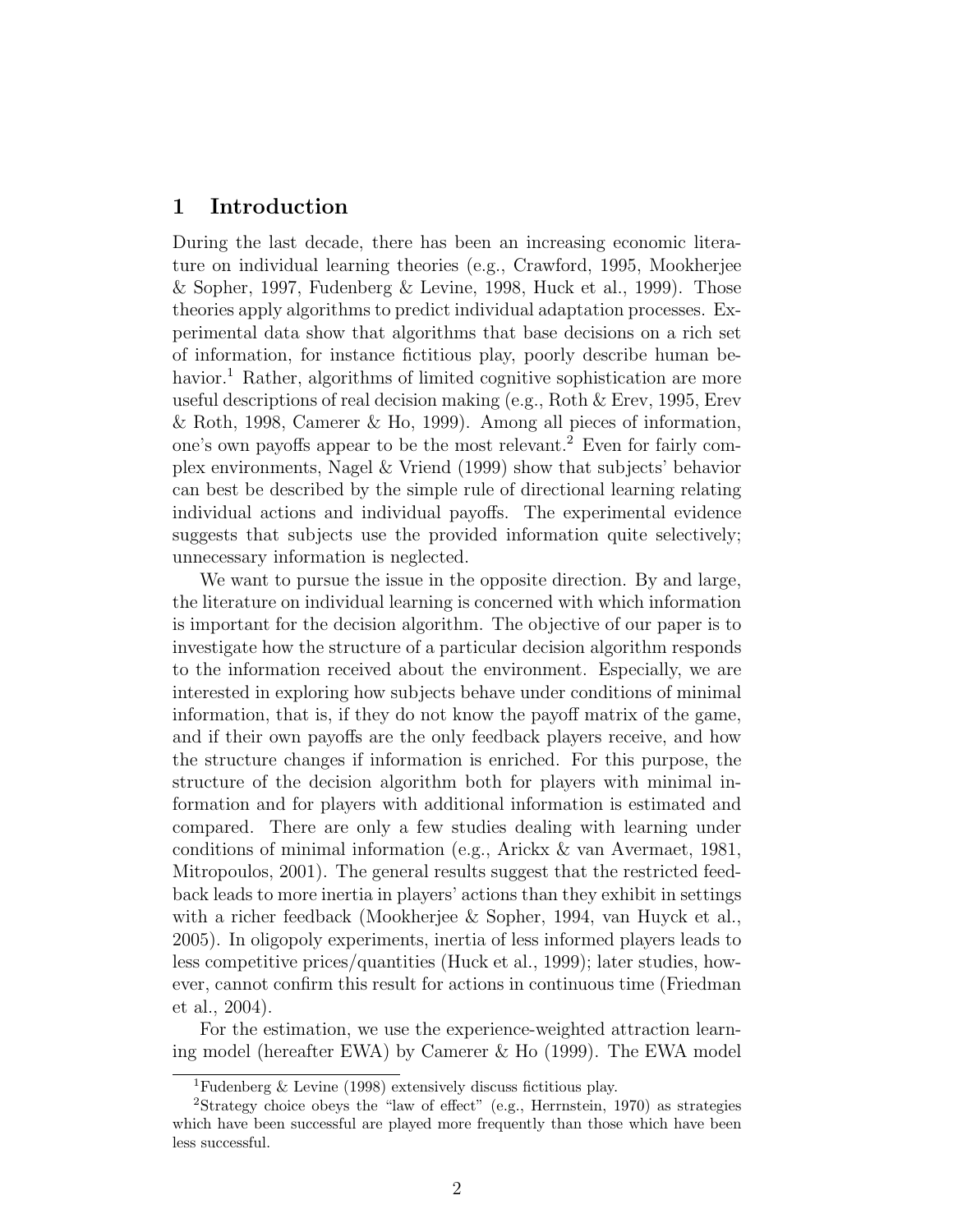### 1 Introduction

During the last decade, there has been an increasing economic literature on individual learning theories (e.g., Crawford, 1995, Mookherjee & Sopher, 1997, Fudenberg & Levine, 1998, Huck et al., 1999). Those theories apply algorithms to predict individual adaptation processes. Experimental data show that algorithms that base decisions on a rich set of information, for instance fictitious play, poorly describe human behavior.<sup>1</sup> Rather, algorithms of limited cognitive sophistication are more useful descriptions of real decision making (e.g., Roth & Erev, 1995, Erev & Roth, 1998, Camerer & Ho, 1999). Among all pieces of information, one's own payoffs appear to be the most relevant.<sup>2</sup> Even for fairly complex environments, Nagel & Vriend (1999) show that subjects' behavior can best be described by the simple rule of directional learning relating individual actions and individual payoffs. The experimental evidence suggests that subjects use the provided information quite selectively; unnecessary information is neglected.

We want to pursue the issue in the opposite direction. By and large, the literature on individual learning is concerned with which information is important for the decision algorithm. The objective of our paper is to investigate how the structure of a particular decision algorithm responds to the information received about the environment. Especially, we are interested in exploring how subjects behave under conditions of minimal information, that is, if they do not know the payoff matrix of the game, and if their own payoffs are the only feedback players receive, and how the structure changes if information is enriched. For this purpose, the structure of the decision algorithm both for players with minimal information and for players with additional information is estimated and compared. There are only a few studies dealing with learning under conditions of minimal information (e.g., Arickx & van Avermaet, 1981, Mitropoulos, 2001). The general results suggest that the restricted feedback leads to more inertia in players' actions than they exhibit in settings with a richer feedback (Mookherjee & Sopher, 1994, van Huyck et al., 2005). In oligopoly experiments, inertia of less informed players leads to less competitive prices/quantities (Huck et al., 1999); later studies, however, cannot confirm this result for actions in continuous time (Friedman et al., 2004).

For the estimation, we use the experience-weighted attraction learning model (hereafter EWA) by Camerer & Ho (1999). The EWA model

<sup>&</sup>lt;sup>1</sup>Fudenberg  $\&$  Levine (1998) extensively discuss fictitious play.

<sup>&</sup>lt;sup>2</sup>Strategy choice obeys the "law of effect" (e.g., Herrnstein, 1970) as strategies which have been successful are played more frequently than those which have been less successful.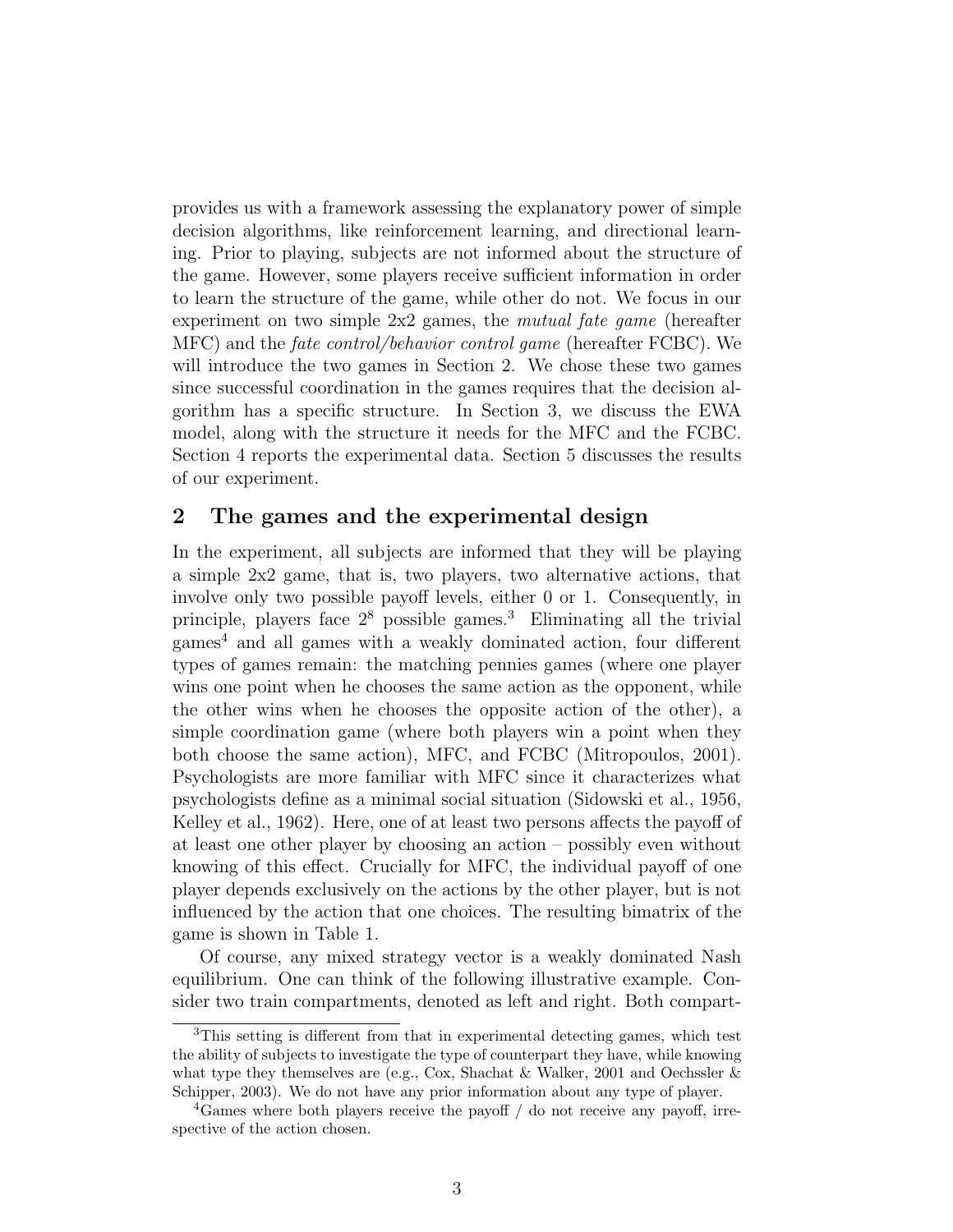provides us with a framework assessing the explanatory power of simple decision algorithms, like reinforcement learning, and directional learning. Prior to playing, subjects are not informed about the structure of the game. However, some players receive sufficient information in order to learn the structure of the game, while other do not. We focus in our experiment on two simple 2x2 games, the mutual fate game (hereafter MFC) and the fate control/behavior control game (hereafter FCBC). We will introduce the two games in Section 2. We chose these two games since successful coordination in the games requires that the decision algorithm has a specific structure. In Section 3, we discuss the EWA model, along with the structure it needs for the MFC and the FCBC. Section 4 reports the experimental data. Section 5 discusses the results of our experiment.

### 2 The games and the experimental design

In the experiment, all subjects are informed that they will be playing a simple 2x2 game, that is, two players, two alternative actions, that involve only two possible payoff levels, either 0 or 1. Consequently, in principle, players face  $2^8$  possible games.<sup>3</sup> Eliminating all the trivial  $\gamma^4$  and all games with a weakly dominated action, four different types of games remain: the matching pennies games (where one player wins one point when he chooses the same action as the opponent, while the other wins when he chooses the opposite action of the other), a simple coordination game (where both players win a point when they both choose the same action), MFC, and FCBC (Mitropoulos, 2001). Psychologists are more familiar with MFC since it characterizes what psychologists define as a minimal social situation (Sidowski et al., 1956, Kelley et al., 1962). Here, one of at least two persons affects the payoff of at least one other player by choosing an action – possibly even without knowing of this effect. Crucially for MFC, the individual payoff of one player depends exclusively on the actions by the other player, but is not influenced by the action that one choices. The resulting bimatrix of the game is shown in Table 1.

Of course, any mixed strategy vector is a weakly dominated Nash equilibrium. One can think of the following illustrative example. Consider two train compartments, denoted as left and right. Both compart-

<sup>3</sup>This setting is different from that in experimental detecting games, which test the ability of subjects to investigate the type of counterpart they have, while knowing what type they themselves are (e.g., Cox, Shachat & Walker, 2001 and Oechssler & Schipper, 2003). We do not have any prior information about any type of player.

 ${}^{4}$ Games where both players receive the payoff / do not receive any payoff, irrespective of the action chosen.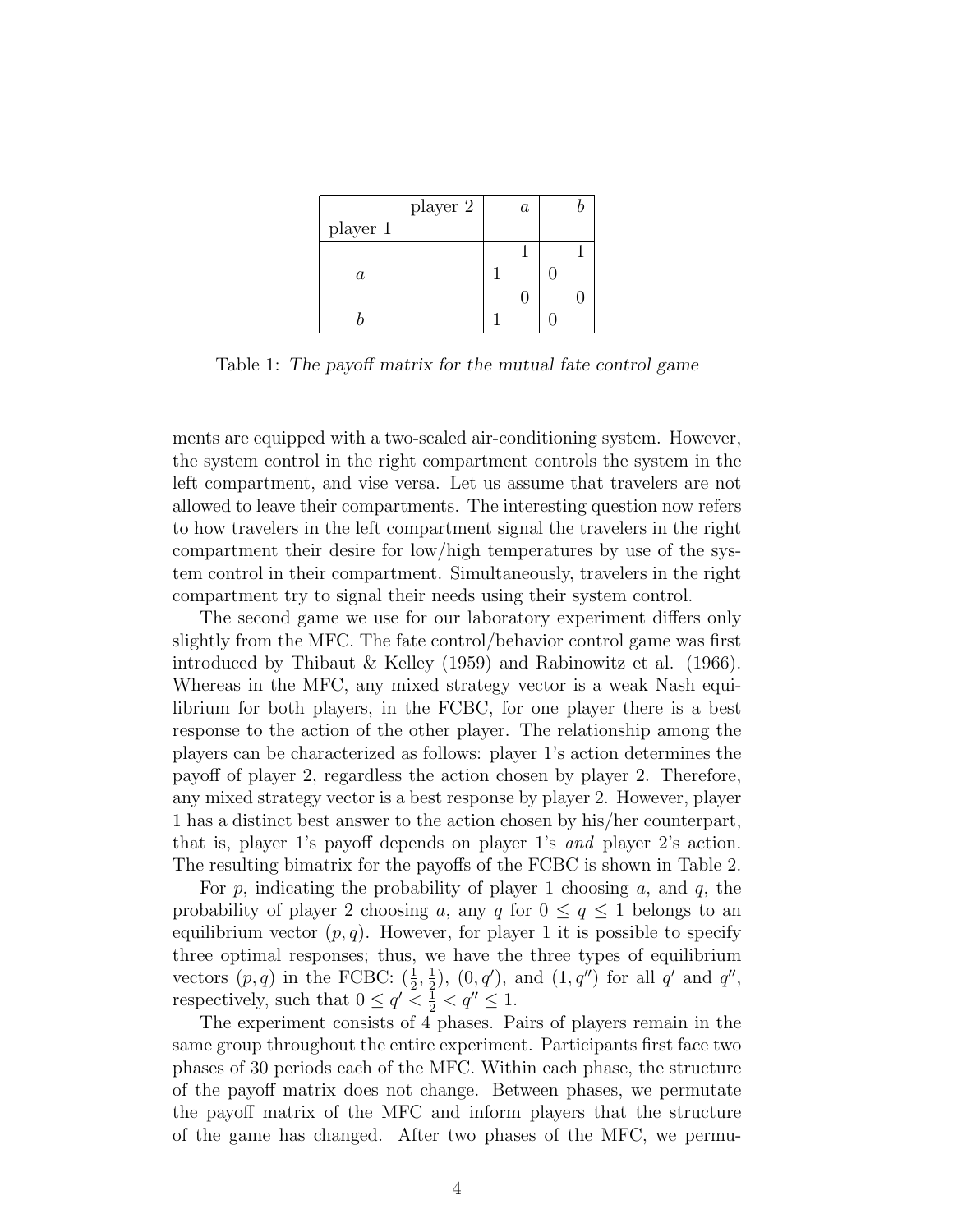|               | player 2 | $\it a$ |  |
|---------------|----------|---------|--|
| player 1      |          |         |  |
|               |          |         |  |
|               |          |         |  |
| $\mathfrak a$ |          |         |  |
|               |          |         |  |

Table 1: The payoff matrix for the mutual fate control game

ments are equipped with a two-scaled air-conditioning system. However, the system control in the right compartment controls the system in the left compartment, and vise versa. Let us assume that travelers are not allowed to leave their compartments. The interesting question now refers to how travelers in the left compartment signal the travelers in the right compartment their desire for low/high temperatures by use of the system control in their compartment. Simultaneously, travelers in the right compartment try to signal their needs using their system control.

The second game we use for our laboratory experiment differs only slightly from the MFC. The fate control/behavior control game was first introduced by Thibaut & Kelley (1959) and Rabinowitz et al. (1966). Whereas in the MFC, any mixed strategy vector is a weak Nash equilibrium for both players, in the FCBC, for one player there is a best response to the action of the other player. The relationship among the players can be characterized as follows: player 1's action determines the payoff of player 2, regardless the action chosen by player 2. Therefore, any mixed strategy vector is a best response by player 2. However, player 1 has a distinct best answer to the action chosen by his/her counterpart, that is, player 1's payoff depends on player 1's and player 2's action. The resulting bimatrix for the payoffs of the FCBC is shown in Table 2.

For  $p$ , indicating the probability of player 1 choosing  $a$ , and  $q$ , the probability of player 2 choosing a, any q for  $0 \le q \le 1$  belongs to an equilibrium vector  $(p, q)$ . However, for player 1 it is possible to specify three optimal responses; thus, we have the three types of equilibrium vectors  $(p, q)$  in the FCBC:  $(\frac{1}{2}, \frac{1}{2})$  $(\frac{1}{2})$ ,  $(0, q')$ , and  $(1, q'')$  for all q' and q'', respectively, such that  $0 \le q' < \frac{1}{2} < q'' \le 1$ .

The experiment consists of 4 phases. Pairs of players remain in the same group throughout the entire experiment. Participants first face two phases of 30 periods each of the MFC. Within each phase, the structure of the payoff matrix does not change. Between phases, we permutate the payoff matrix of the MFC and inform players that the structure of the game has changed. After two phases of the MFC, we permu-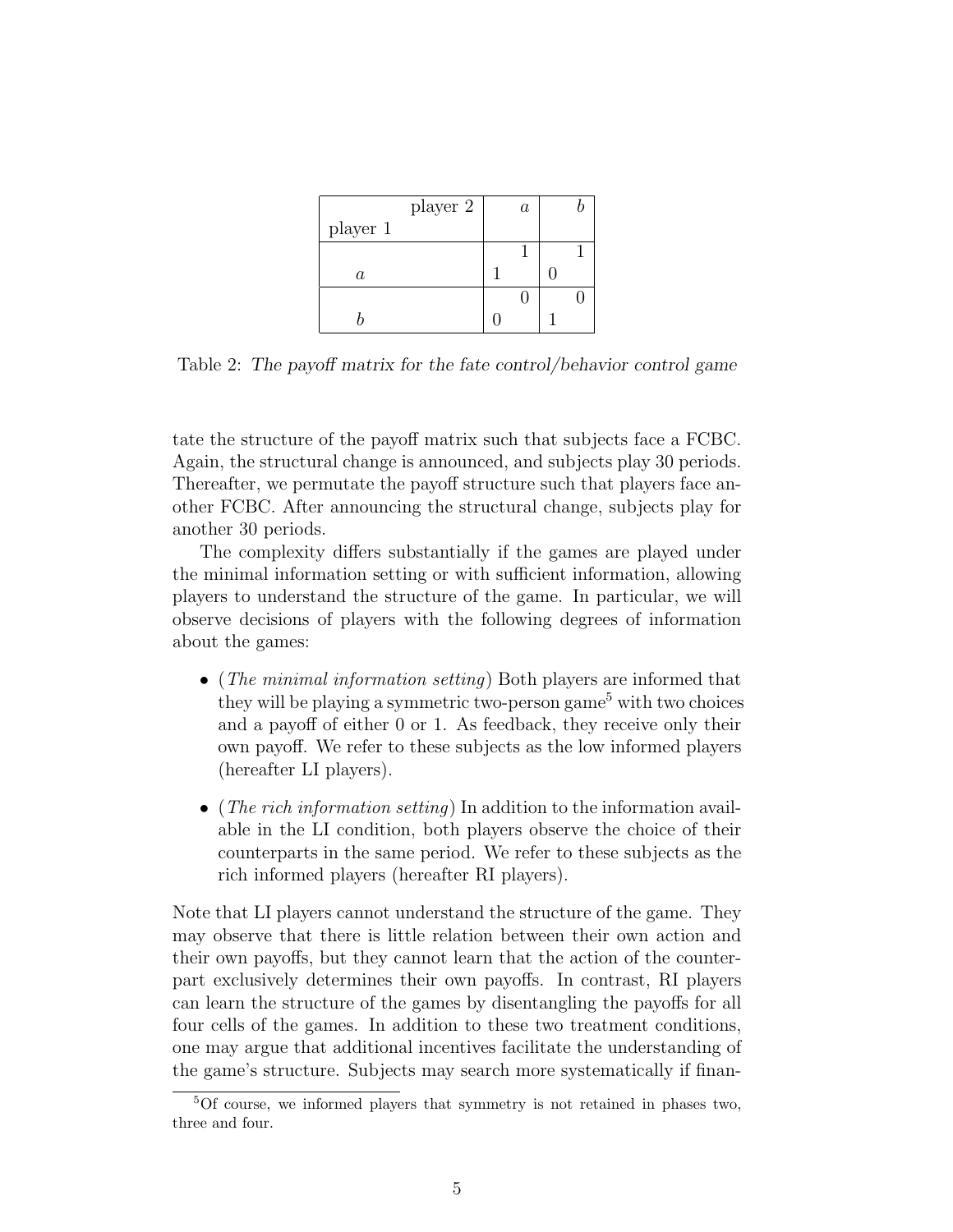|               | player 2 | $\mathfrak a$ |  |
|---------------|----------|---------------|--|
| player 1      |          |               |  |
|               |          |               |  |
| $\mathfrak a$ |          |               |  |
|               |          |               |  |
|               |          |               |  |

Table 2: The payoff matrix for the fate control/behavior control game

tate the structure of the payoff matrix such that subjects face a FCBC. Again, the structural change is announced, and subjects play 30 periods. Thereafter, we permutate the payoff structure such that players face another FCBC. After announcing the structural change, subjects play for another 30 periods.

The complexity differs substantially if the games are played under the minimal information setting or with sufficient information, allowing players to understand the structure of the game. In particular, we will observe decisions of players with the following degrees of information about the games:

- (*The minimal information setting*) Both players are informed that they will be playing a symmetric two-person game<sup>5</sup> with two choices and a payoff of either 0 or 1. As feedback, they receive only their own payoff. We refer to these subjects as the low informed players (hereafter LI players).
- (The rich information setting) In addition to the information available in the LI condition, both players observe the choice of their counterparts in the same period. We refer to these subjects as the rich informed players (hereafter RI players).

Note that LI players cannot understand the structure of the game. They may observe that there is little relation between their own action and their own payoffs, but they cannot learn that the action of the counterpart exclusively determines their own payoffs. In contrast, RI players can learn the structure of the games by disentangling the payoffs for all four cells of the games. In addition to these two treatment conditions, one may argue that additional incentives facilitate the understanding of the game's structure. Subjects may search more systematically if finan-

<sup>5</sup>Of course, we informed players that symmetry is not retained in phases two, three and four.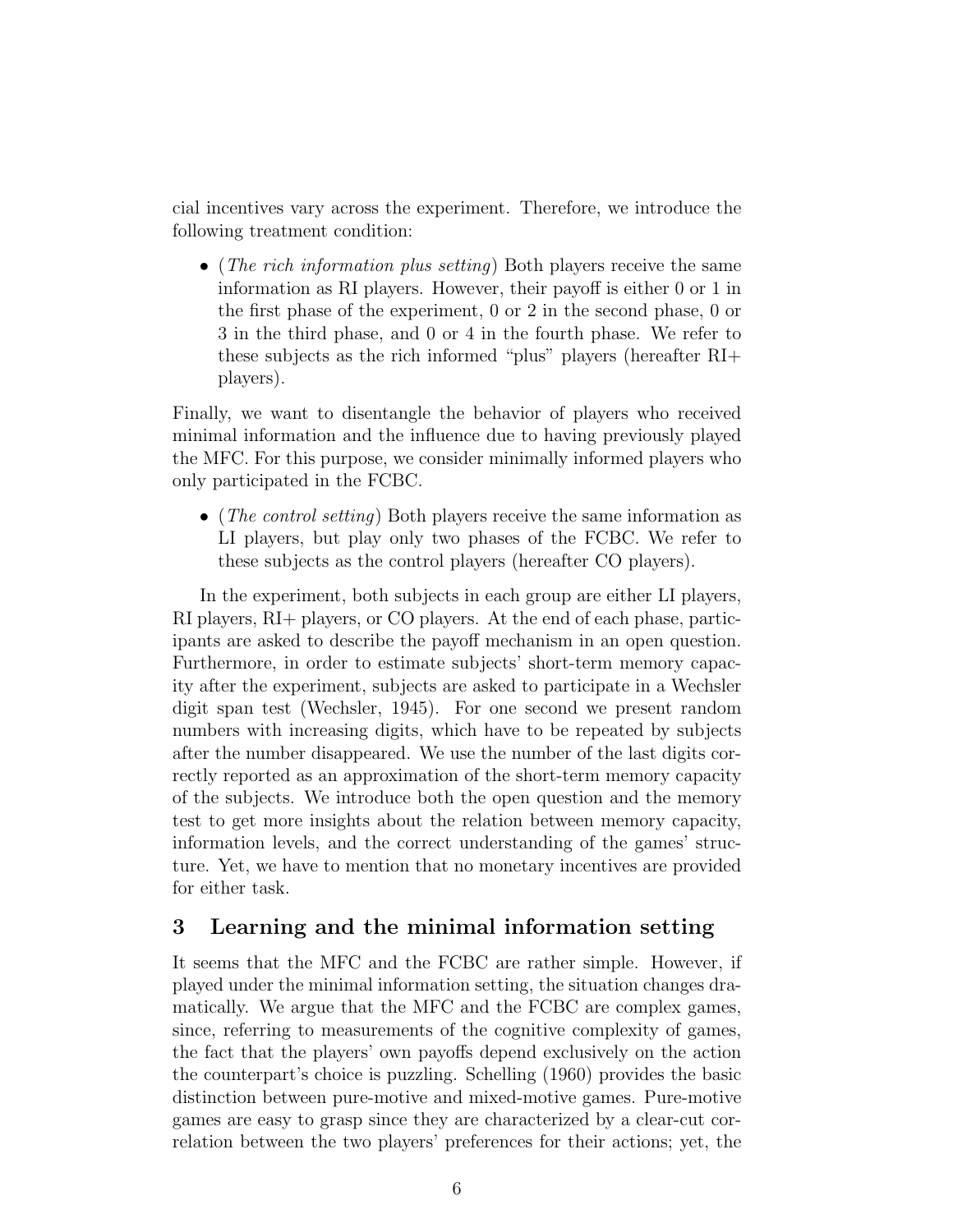cial incentives vary across the experiment. Therefore, we introduce the following treatment condition:

• (The rich information plus setting) Both players receive the same information as RI players. However, their payoff is either 0 or 1 in the first phase of the experiment, 0 or 2 in the second phase, 0 or 3 in the third phase, and 0 or 4 in the fourth phase. We refer to these subjects as the rich informed "plus" players (hereafter RI+ players).

Finally, we want to disentangle the behavior of players who received minimal information and the influence due to having previously played the MFC. For this purpose, we consider minimally informed players who only participated in the FCBC.

• (*The control setting*) Both players receive the same information as LI players, but play only two phases of the FCBC. We refer to these subjects as the control players (hereafter CO players).

In the experiment, both subjects in each group are either LI players, RI players, RI+ players, or CO players. At the end of each phase, participants are asked to describe the payoff mechanism in an open question. Furthermore, in order to estimate subjects' short-term memory capacity after the experiment, subjects are asked to participate in a Wechsler digit span test (Wechsler, 1945). For one second we present random numbers with increasing digits, which have to be repeated by subjects after the number disappeared. We use the number of the last digits correctly reported as an approximation of the short-term memory capacity of the subjects. We introduce both the open question and the memory test to get more insights about the relation between memory capacity, information levels, and the correct understanding of the games' structure. Yet, we have to mention that no monetary incentives are provided for either task.

# 3 Learning and the minimal information setting

It seems that the MFC and the FCBC are rather simple. However, if played under the minimal information setting, the situation changes dramatically. We argue that the MFC and the FCBC are complex games, since, referring to measurements of the cognitive complexity of games, the fact that the players' own payoffs depend exclusively on the action the counterpart's choice is puzzling. Schelling (1960) provides the basic distinction between pure-motive and mixed-motive games. Pure-motive games are easy to grasp since they are characterized by a clear-cut correlation between the two players' preferences for their actions; yet, the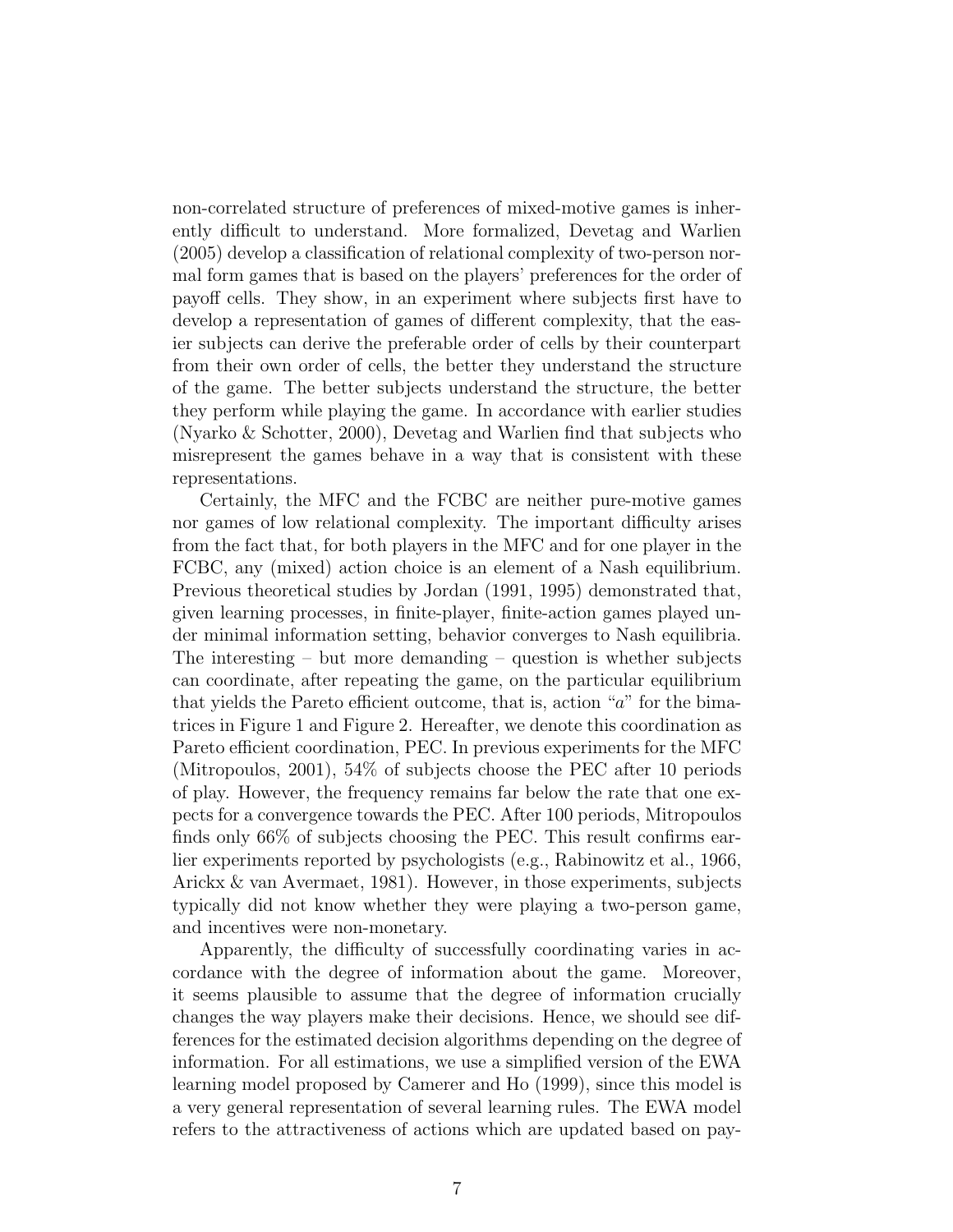non-correlated structure of preferences of mixed-motive games is inherently difficult to understand. More formalized, Devetag and Warlien (2005) develop a classification of relational complexity of two-person normal form games that is based on the players' preferences for the order of payoff cells. They show, in an experiment where subjects first have to develop a representation of games of different complexity, that the easier subjects can derive the preferable order of cells by their counterpart from their own order of cells, the better they understand the structure of the game. The better subjects understand the structure, the better they perform while playing the game. In accordance with earlier studies (Nyarko & Schotter, 2000), Devetag and Warlien find that subjects who misrepresent the games behave in a way that is consistent with these representations.

Certainly, the MFC and the FCBC are neither pure-motive games nor games of low relational complexity. The important difficulty arises from the fact that, for both players in the MFC and for one player in the FCBC, any (mixed) action choice is an element of a Nash equilibrium. Previous theoretical studies by Jordan (1991, 1995) demonstrated that, given learning processes, in finite-player, finite-action games played under minimal information setting, behavior converges to Nash equilibria. The interesting – but more demanding – question is whether subjects can coordinate, after repeating the game, on the particular equilibrium that yields the Pareto efficient outcome, that is, action "a" for the bimatrices in Figure 1 and Figure 2. Hereafter, we denote this coordination as Pareto efficient coordination, PEC. In previous experiments for the MFC (Mitropoulos, 2001), 54% of subjects choose the PEC after 10 periods of play. However, the frequency remains far below the rate that one expects for a convergence towards the PEC. After 100 periods, Mitropoulos finds only 66% of subjects choosing the PEC. This result confirms earlier experiments reported by psychologists (e.g., Rabinowitz et al., 1966, Arickx & van Avermaet, 1981). However, in those experiments, subjects typically did not know whether they were playing a two-person game, and incentives were non-monetary.

Apparently, the difficulty of successfully coordinating varies in accordance with the degree of information about the game. Moreover, it seems plausible to assume that the degree of information crucially changes the way players make their decisions. Hence, we should see differences for the estimated decision algorithms depending on the degree of information. For all estimations, we use a simplified version of the EWA learning model proposed by Camerer and Ho (1999), since this model is a very general representation of several learning rules. The EWA model refers to the attractiveness of actions which are updated based on pay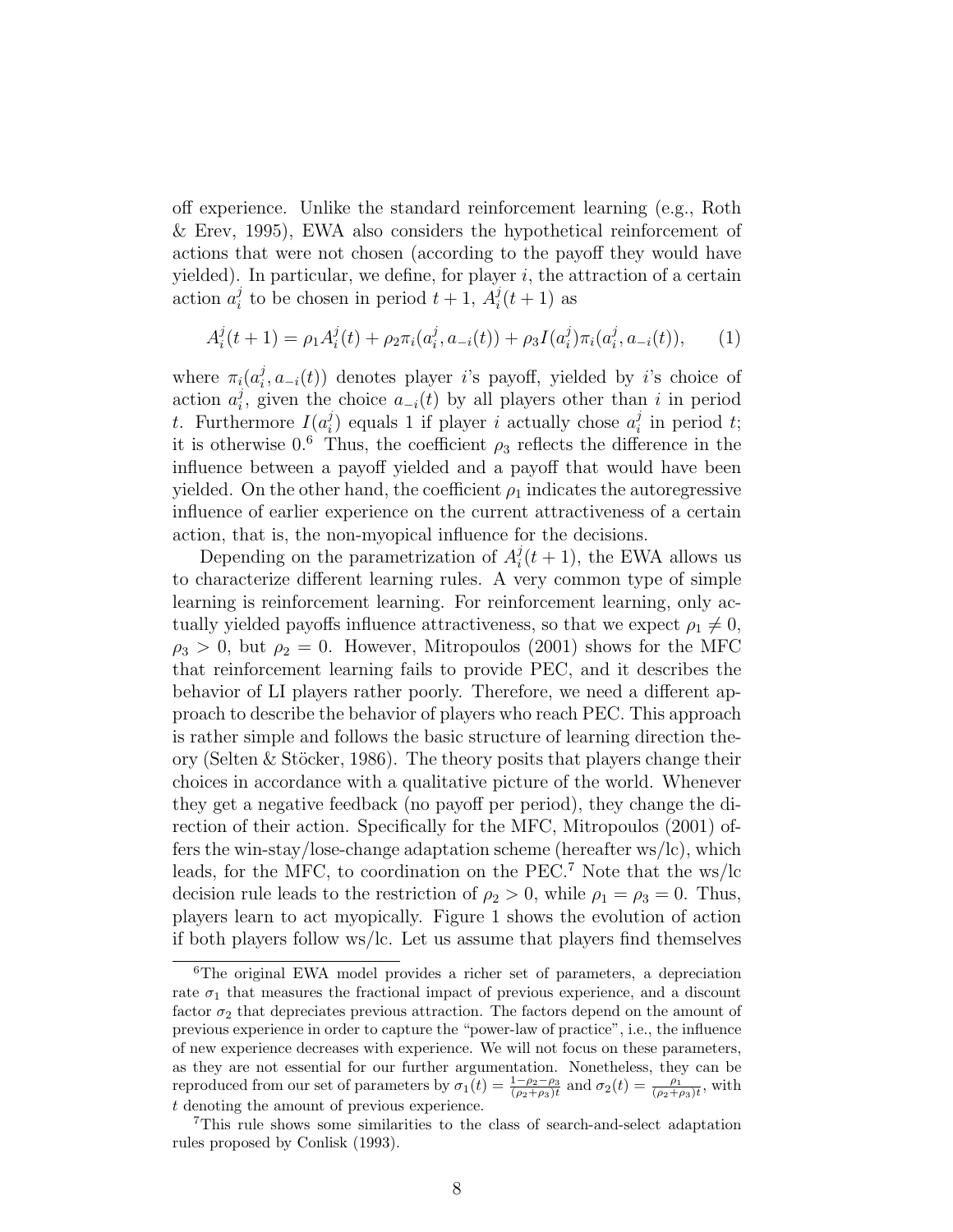off experience. Unlike the standard reinforcement learning (e.g., Roth & Erev, 1995), EWA also considers the hypothetical reinforcement of actions that were not chosen (according to the payoff they would have yielded). In particular, we define, for player  $i$ , the attraction of a certain action  $a_i^j$  $i$  to be chosen in period  $t+1$ ,  $A_i^j$  $i(t+1)$  as

$$
A_i^j(t+1) = \rho_1 A_i^j(t) + \rho_2 \pi_i(a_i^j, a_{-i}(t)) + \rho_3 I(a_i^j) \pi_i(a_i^j, a_{-i}(t)), \qquad (1)
$$

where  $\pi_i(a_i^j)$  $i<sub>i</sub>, a<sub>-i</sub>(t)$  denotes player i's payoff, yielded by i's choice of action  $a_i^j$ <sup>*i*</sup>, given the choice  $a_{-i}(t)$  by all players other than *i* in period t. Furthermore  $I(a_i^j)$  $i$ ) equals 1 if player *i* actually chose  $a_i^j$  $i$  in period t; it is otherwise  $0.6$  Thus, the coefficient  $\rho_3$  reflects the difference in the influence between a payoff yielded and a payoff that would have been yielded. On the other hand, the coefficient  $\rho_1$  indicates the autoregressive influence of earlier experience on the current attractiveness of a certain action, that is, the non-myopical influence for the decisions.

Depending on the parametrization of  $A_i^j$  $i(t+1)$ , the EWA allows us to characterize different learning rules. A very common type of simple learning is reinforcement learning. For reinforcement learning, only actually yielded payoffs influence attractiveness, so that we expect  $\rho_1 \neq 0$ ,  $\rho_3 > 0$ , but  $\rho_2 = 0$ . However, Mitropoulos (2001) shows for the MFC that reinforcement learning fails to provide PEC, and it describes the behavior of LI players rather poorly. Therefore, we need a different approach to describe the behavior of players who reach PEC. This approach is rather simple and follows the basic structure of learning direction theory (Selten & Stöcker, 1986). The theory posits that players change their choices in accordance with a qualitative picture of the world. Whenever they get a negative feedback (no payoff per period), they change the direction of their action. Specifically for the MFC, Mitropoulos (2001) offers the win-stay/lose-change adaptation scheme (hereafter ws/lc), which leads, for the MFC, to coordination on the PEC.<sup>7</sup> Note that the ws/lc decision rule leads to the restriction of  $\rho_2 > 0$ , while  $\rho_1 = \rho_3 = 0$ . Thus, players learn to act myopically. Figure 1 shows the evolution of action if both players follow ws/lc. Let us assume that players find themselves

<sup>6</sup>The original EWA model provides a richer set of parameters, a depreciation rate  $\sigma_1$  that measures the fractional impact of previous experience, and a discount factor  $\sigma_2$  that depreciates previous attraction. The factors depend on the amount of previous experience in order to capture the "power-law of practice", i.e., the influence of new experience decreases with experience. We will not focus on these parameters, as they are not essential for our further argumentation. Nonetheless, they can be reproduced from our set of parameters by  $\sigma_1(t) = \frac{1-\rho_2-\rho_3}{(\rho_2+\rho_3)t}$  and  $\sigma_2(t) = \frac{\rho_1}{(\rho_2+\rho_3)t}$ , with t denoting the amount of previous experience.

<sup>7</sup>This rule shows some similarities to the class of search-and-select adaptation rules proposed by Conlisk (1993).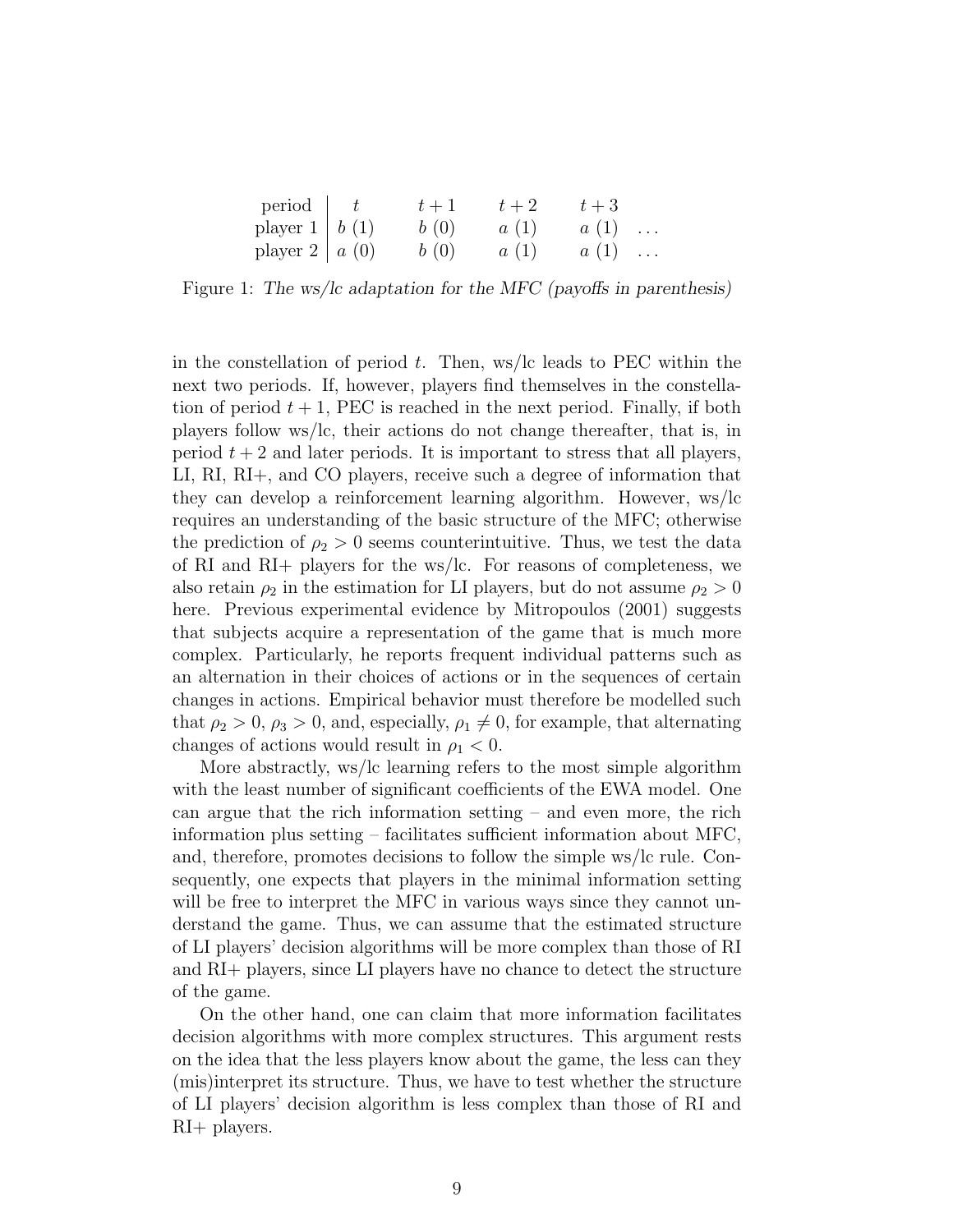| period $t$           | $t+1$ | $t+2$ | $t+3$         |  |
|----------------------|-------|-------|---------------|--|
| player $1 \mid b(1)$ | b(0)  | a(1)  | $a(1) \ldots$ |  |
| player $2   a (0)$   | b(0)  | a(1)  | $a(1) \ldots$ |  |

Figure 1: The ws/lc adaptation for the MFC (payoffs in parenthesis)

in the constellation of period  $t$ . Then, ws/lc leads to PEC within the next two periods. If, however, players find themselves in the constellation of period  $t + 1$ , PEC is reached in the next period. Finally, if both players follow ws/lc, their actions do not change thereafter, that is, in period  $t + 2$  and later periods. It is important to stress that all players, LI, RI, RI+, and CO players, receive such a degree of information that they can develop a reinforcement learning algorithm. However, ws/lc requires an understanding of the basic structure of the MFC; otherwise the prediction of  $\rho_2 > 0$  seems counterintuitive. Thus, we test the data of RI and RI+ players for the ws/lc. For reasons of completeness, we also retain  $\rho_2$  in the estimation for LI players, but do not assume  $\rho_2 > 0$ here. Previous experimental evidence by Mitropoulos (2001) suggests that subjects acquire a representation of the game that is much more complex. Particularly, he reports frequent individual patterns such as an alternation in their choices of actions or in the sequences of certain changes in actions. Empirical behavior must therefore be modelled such that  $\rho_2 > 0$ ,  $\rho_3 > 0$ , and, especially,  $\rho_1 \neq 0$ , for example, that alternating changes of actions would result in  $\rho_1 < 0$ .

More abstractly, ws/lc learning refers to the most simple algorithm with the least number of significant coefficients of the EWA model. One can argue that the rich information setting – and even more, the rich information plus setting – facilitates sufficient information about MFC, and, therefore, promotes decisions to follow the simple ws/lc rule. Consequently, one expects that players in the minimal information setting will be free to interpret the MFC in various ways since they cannot understand the game. Thus, we can assume that the estimated structure of LI players' decision algorithms will be more complex than those of RI and RI+ players, since LI players have no chance to detect the structure of the game.

On the other hand, one can claim that more information facilitates decision algorithms with more complex structures. This argument rests on the idea that the less players know about the game, the less can they (mis)interpret its structure. Thus, we have to test whether the structure of LI players' decision algorithm is less complex than those of RI and RI+ players.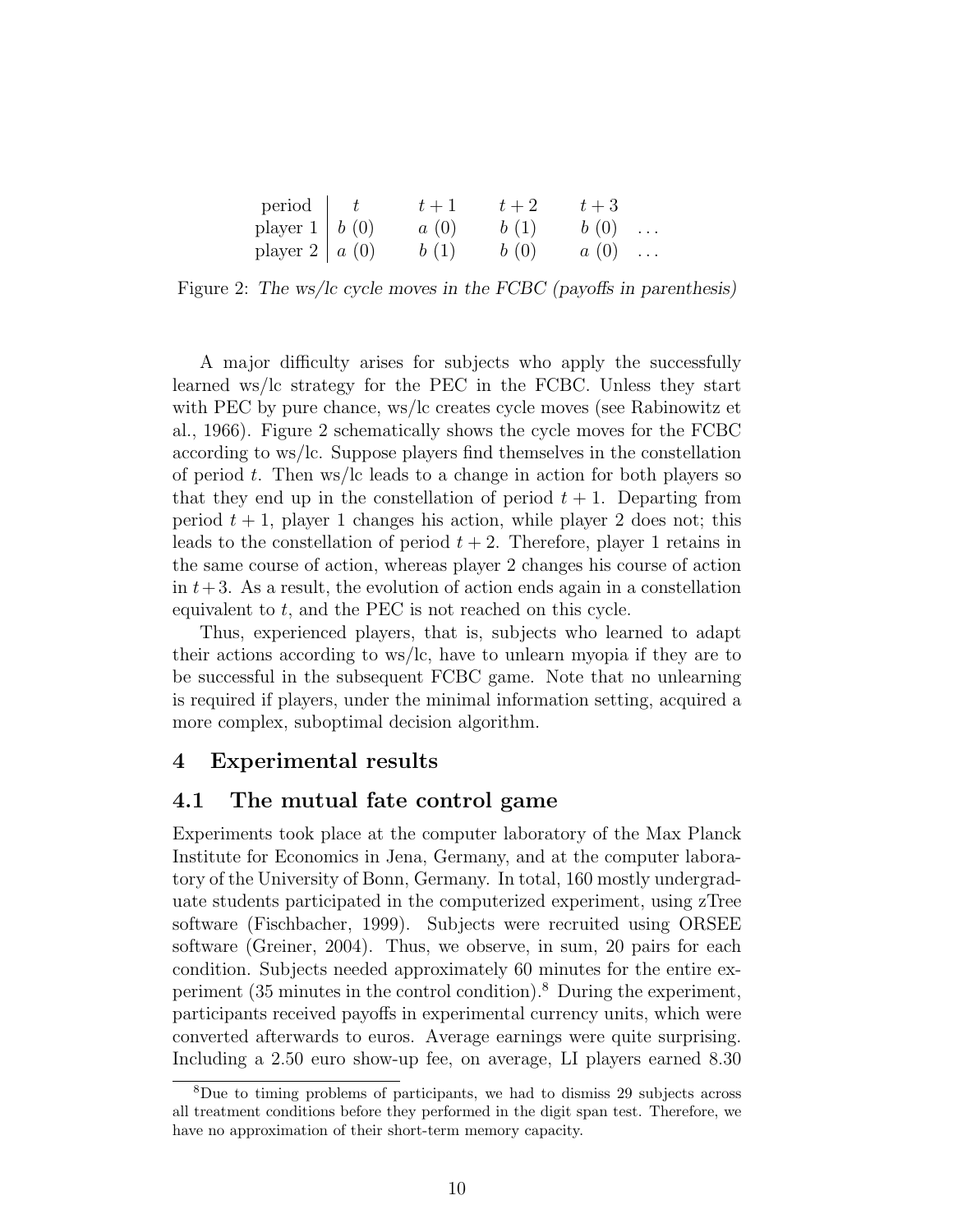| period               | $t+1$ | $t+2$ | $t+3$         |  |
|----------------------|-------|-------|---------------|--|
| player $1 \mid b(0)$ | a(0)  | b(1)  | $b(0) \ldots$ |  |
| player $2 \mid a(0)$ | b(1)  | b(0)  | $a(0) \dots$  |  |

Figure 2: The ws/lc cycle moves in the FCBC (payoffs in parenthesis)

A major difficulty arises for subjects who apply the successfully learned ws/lc strategy for the PEC in the FCBC. Unless they start with PEC by pure chance, ws/lc creates cycle moves (see Rabinowitz et al., 1966). Figure 2 schematically shows the cycle moves for the FCBC according to ws/lc. Suppose players find themselves in the constellation of period t. Then ws/lc leads to a change in action for both players so that they end up in the constellation of period  $t + 1$ . Departing from period  $t + 1$ , player 1 changes his action, while player 2 does not; this leads to the constellation of period  $t + 2$ . Therefore, player 1 retains in the same course of action, whereas player 2 changes his course of action in  $t+3$ . As a result, the evolution of action ends again in a constellation equivalent to t, and the PEC is not reached on this cycle.

Thus, experienced players, that is, subjects who learned to adapt their actions according to ws/lc, have to unlearn myopia if they are to be successful in the subsequent FCBC game. Note that no unlearning is required if players, under the minimal information setting, acquired a more complex, suboptimal decision algorithm.

# 4 Experimental results

#### 4.1 The mutual fate control game

Experiments took place at the computer laboratory of the Max Planck Institute for Economics in Jena, Germany, and at the computer laboratory of the University of Bonn, Germany. In total, 160 mostly undergraduate students participated in the computerized experiment, using zTree software (Fischbacher, 1999). Subjects were recruited using ORSEE software (Greiner, 2004). Thus, we observe, in sum, 20 pairs for each condition. Subjects needed approximately 60 minutes for the entire experiment (35 minutes in the control condition).<sup>8</sup> During the experiment, participants received payoffs in experimental currency units, which were converted afterwards to euros. Average earnings were quite surprising. Including a 2.50 euro show-up fee, on average, LI players earned 8.30

<sup>8</sup>Due to timing problems of participants, we had to dismiss 29 subjects across all treatment conditions before they performed in the digit span test. Therefore, we have no approximation of their short-term memory capacity.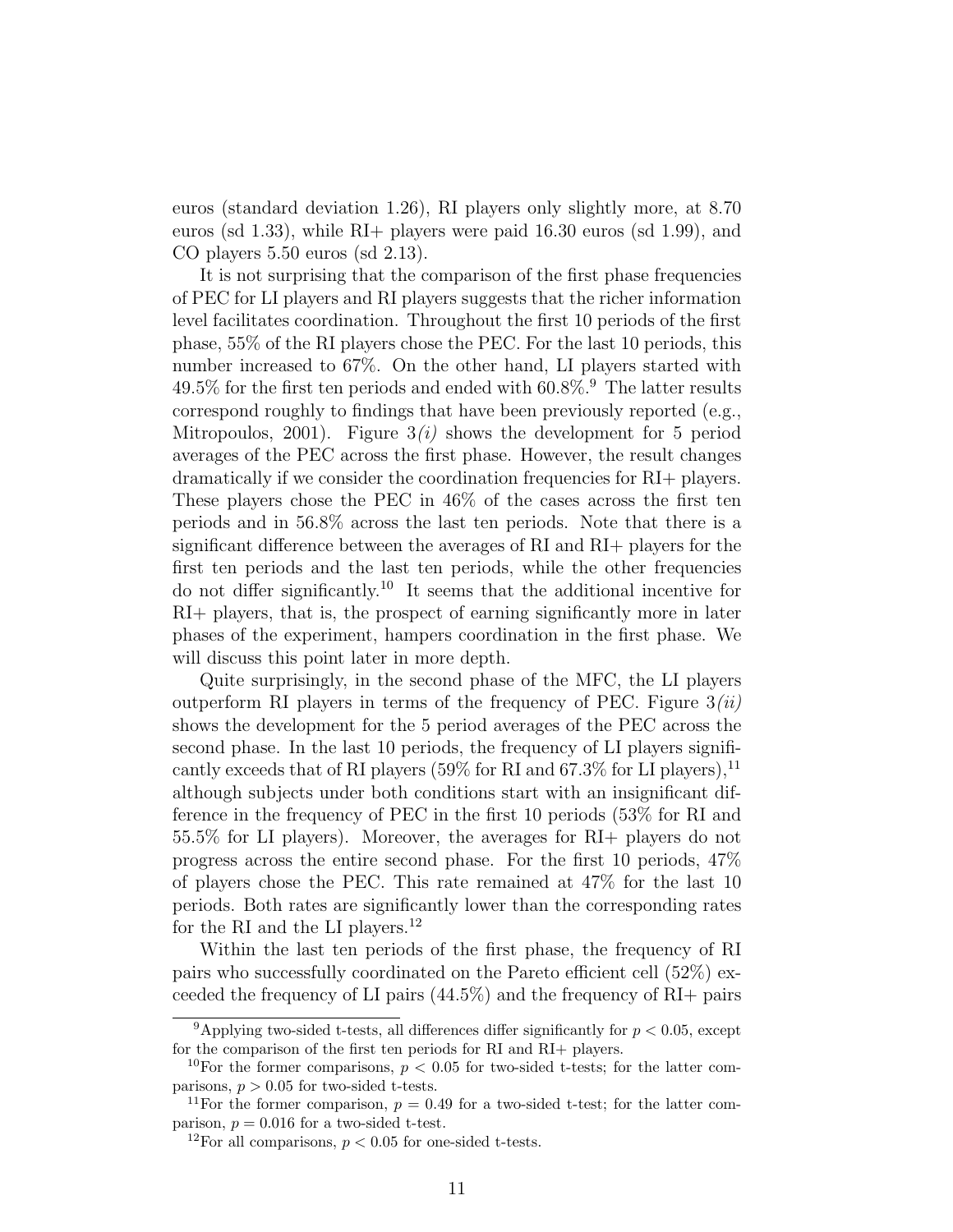euros (standard deviation 1.26), RI players only slightly more, at 8.70 euros (sd 1.33), while RI+ players were paid 16.30 euros (sd 1.99), and CO players 5.50 euros (sd 2.13).

It is not surprising that the comparison of the first phase frequencies of PEC for LI players and RI players suggests that the richer information level facilitates coordination. Throughout the first 10 periods of the first phase, 55% of the RI players chose the PEC. For the last 10 periods, this number increased to 67%. On the other hand, LI players started with  $49.5\%$  for the first ten periods and ended with  $60.8\%$ <sup>9</sup>. The latter results correspond roughly to findings that have been previously reported (e.g., Mitropoulos, 2001). Figure  $3(i)$  shows the development for 5 period averages of the PEC across the first phase. However, the result changes dramatically if we consider the coordination frequencies for RI+ players. These players chose the PEC in 46% of the cases across the first ten periods and in 56.8% across the last ten periods. Note that there is a significant difference between the averages of RI and RI+ players for the first ten periods and the last ten periods, while the other frequencies do not differ significantly.<sup>10</sup> It seems that the additional incentive for RI+ players, that is, the prospect of earning significantly more in later phases of the experiment, hampers coordination in the first phase. We will discuss this point later in more depth.

Quite surprisingly, in the second phase of the MFC, the LI players outperform RI players in terms of the frequency of PEC. Figure  $3(ii)$ shows the development for the 5 period averages of the PEC across the second phase. In the last 10 periods, the frequency of LI players significantly exceeds that of RI players (59% for RI and 67.3% for LI players),  $^{11}$ although subjects under both conditions start with an insignificant difference in the frequency of PEC in the first 10 periods (53% for RI and 55.5% for LI players). Moreover, the averages for RI+ players do not progress across the entire second phase. For the first 10 periods, 47% of players chose the PEC. This rate remained at 47% for the last 10 periods. Both rates are significantly lower than the corresponding rates for the RI and the LI players.<sup>12</sup>

Within the last ten periods of the first phase, the frequency of RI pairs who successfully coordinated on the Pareto efficient cell (52%) exceeded the frequency of LI pairs (44.5%) and the frequency of RI+ pairs

<sup>&</sup>lt;sup>9</sup>Applying two-sided t-tests, all differences differ significantly for  $p < 0.05$ , except for the comparison of the first ten periods for RI and RI+ players.

<sup>&</sup>lt;sup>10</sup>For the former comparisons,  $p < 0.05$  for two-sided t-tests; for the latter comparisons,  $p > 0.05$  for two-sided t-tests.

<sup>&</sup>lt;sup>11</sup>For the former comparison,  $p = 0.49$  for a two-sided t-test; for the latter comparison,  $p = 0.016$  for a two-sided t-test.

<sup>&</sup>lt;sup>12</sup>For all comparisons,  $p < 0.05$  for one-sided t-tests.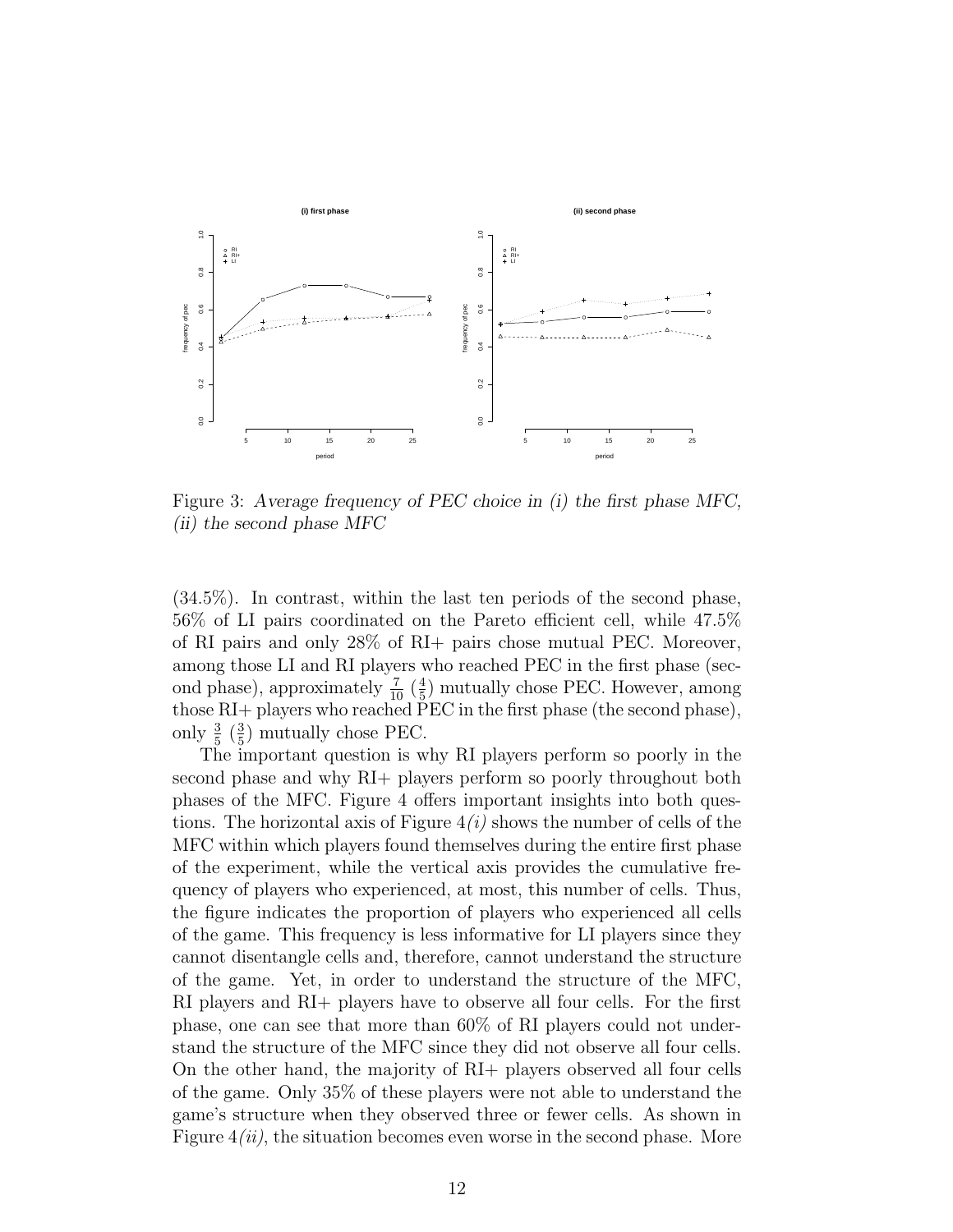

Figure 3: Average frequency of PEC choice in (i) the first phase MFC, (ii) the second phase MFC

(34.5%). In contrast, within the last ten periods of the second phase, 56% of LI pairs coordinated on the Pareto efficient cell, while 47.5% of RI pairs and only 28% of RI+ pairs chose mutual PEC. Moreover, among those LI and RI players who reached PEC in the first phase (second phase), approximately  $\frac{7}{10}$  ( $\frac{4}{5}$ )  $\frac{4}{5}$ ) mutually chose PEC. However, among those RI+ players who reached PEC in the first phase (the second phase), only  $\frac{3}{5}$   $(\frac{3}{5}$  $\frac{3}{5}$ ) mutually chose PEC.

The important question is why RI players perform so poorly in the second phase and why RI+ players perform so poorly throughout both phases of the MFC. Figure 4 offers important insights into both questions. The horizontal axis of Figure  $4(i)$  shows the number of cells of the MFC within which players found themselves during the entire first phase of the experiment, while the vertical axis provides the cumulative frequency of players who experienced, at most, this number of cells. Thus, the figure indicates the proportion of players who experienced all cells of the game. This frequency is less informative for LI players since they cannot disentangle cells and, therefore, cannot understand the structure of the game. Yet, in order to understand the structure of the MFC, RI players and RI+ players have to observe all four cells. For the first phase, one can see that more than 60% of RI players could not understand the structure of the MFC since they did not observe all four cells. On the other hand, the majority of RI+ players observed all four cells of the game. Only 35% of these players were not able to understand the game's structure when they observed three or fewer cells. As shown in Figure  $4(ii)$ , the situation becomes even worse in the second phase. More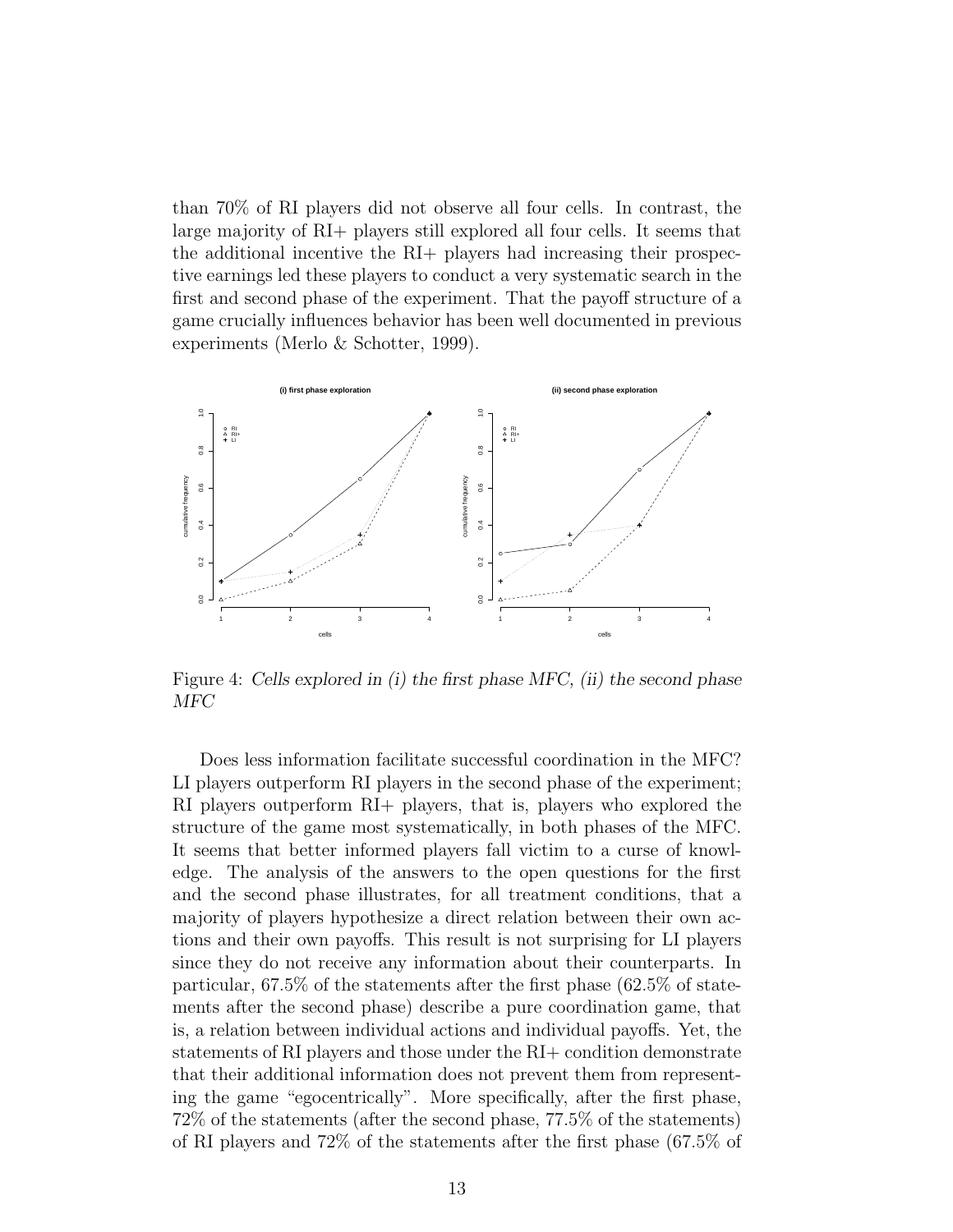than 70% of RI players did not observe all four cells. In contrast, the large majority of RI+ players still explored all four cells. It seems that the additional incentive the RI+ players had increasing their prospective earnings led these players to conduct a very systematic search in the first and second phase of the experiment. That the payoff structure of a game crucially influences behavior has been well documented in previous experiments (Merlo & Schotter, 1999).



Figure 4: Cells explored in (i) the first phase MFC, (ii) the second phase MFC

Does less information facilitate successful coordination in the MFC? LI players outperform RI players in the second phase of the experiment; RI players outperform RI+ players, that is, players who explored the structure of the game most systematically, in both phases of the MFC. It seems that better informed players fall victim to a curse of knowledge. The analysis of the answers to the open questions for the first and the second phase illustrates, for all treatment conditions, that a majority of players hypothesize a direct relation between their own actions and their own payoffs. This result is not surprising for LI players since they do not receive any information about their counterparts. In particular, 67.5% of the statements after the first phase (62.5% of statements after the second phase) describe a pure coordination game, that is, a relation between individual actions and individual payoffs. Yet, the statements of RI players and those under the RI+ condition demonstrate that their additional information does not prevent them from representing the game "egocentrically". More specifically, after the first phase, 72% of the statements (after the second phase, 77.5% of the statements) of RI players and 72% of the statements after the first phase (67.5% of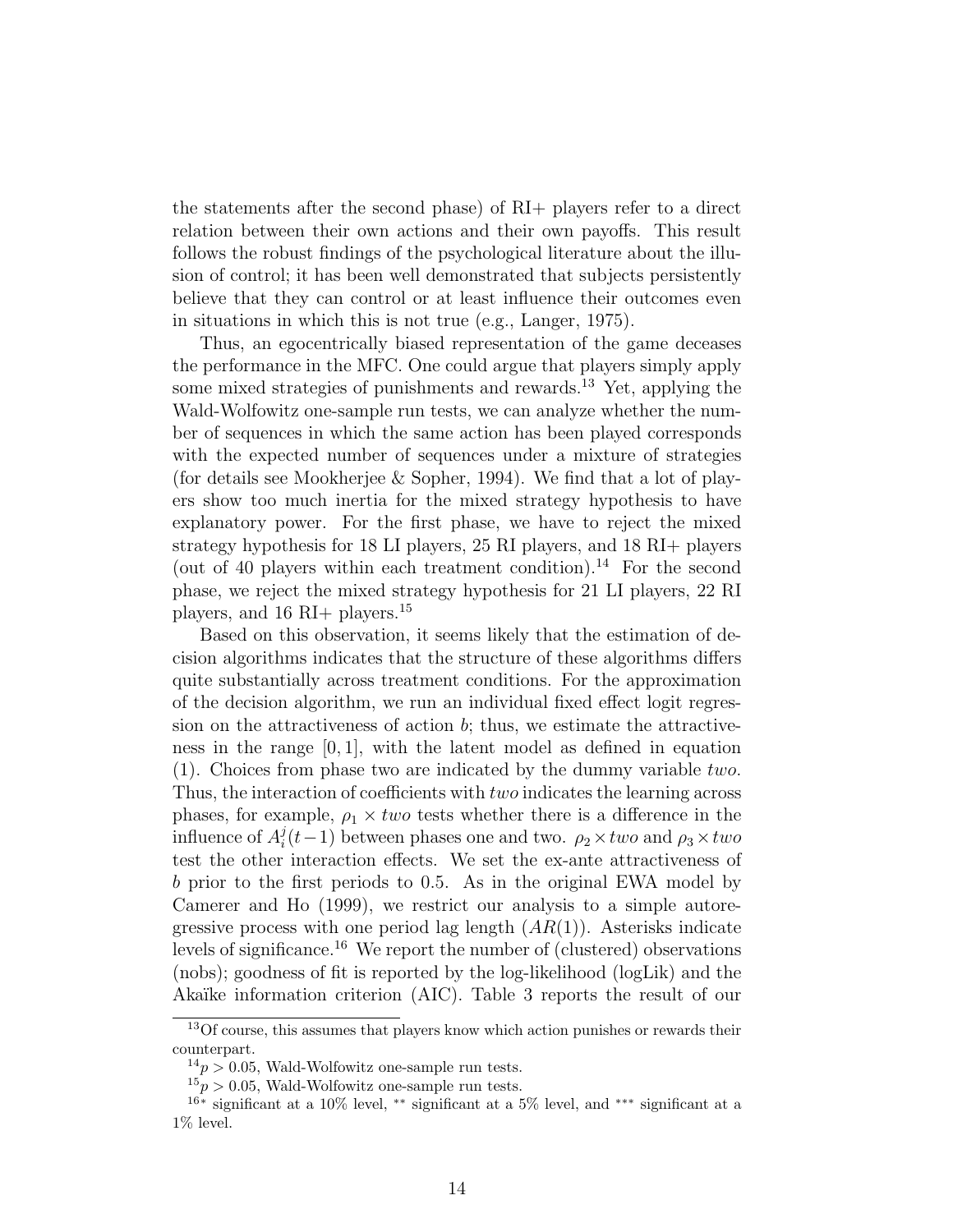the statements after the second phase) of RI+ players refer to a direct relation between their own actions and their own payoffs. This result follows the robust findings of the psychological literature about the illusion of control; it has been well demonstrated that subjects persistently believe that they can control or at least influence their outcomes even in situations in which this is not true (e.g., Langer, 1975).

Thus, an egocentrically biased representation of the game deceases the performance in the MFC. One could argue that players simply apply some mixed strategies of punishments and rewards.<sup>13</sup> Yet, applying the Wald-Wolfowitz one-sample run tests, we can analyze whether the number of sequences in which the same action has been played corresponds with the expected number of sequences under a mixture of strategies (for details see Mookherjee & Sopher, 1994). We find that a lot of players show too much inertia for the mixed strategy hypothesis to have explanatory power. For the first phase, we have to reject the mixed strategy hypothesis for 18 LI players, 25 RI players, and 18 RI+ players (out of 40 players within each treatment condition).<sup>14</sup> For the second phase, we reject the mixed strategy hypothesis for 21 LI players, 22 RI players, and 16 RI+ players.<sup>15</sup>

Based on this observation, it seems likely that the estimation of decision algorithms indicates that the structure of these algorithms differs quite substantially across treatment conditions. For the approximation of the decision algorithm, we run an individual fixed effect logit regression on the attractiveness of action b; thus, we estimate the attractiveness in the range [0, 1], with the latent model as defined in equation (1). Choices from phase two are indicated by the dummy variable two. Thus, the interaction of coefficients with two indicates the learning across phases, for example,  $\rho_1 \times two$  tests whether there is a difference in the influence of  $A_i^j$  $\mu_i^j(t-1)$  between phases one and two.  $\rho_2 \times two$  and  $\rho_3 \times two$ test the other interaction effects. We set the ex-ante attractiveness of b prior to the first periods to 0.5. As in the original EWA model by Camerer and Ho (1999), we restrict our analysis to a simple autoregressive process with one period lag length  $(AR(1))$ . Asterisks indicate levels of significance.<sup>16</sup> We report the number of (clustered) observations (nobs); goodness of fit is reported by the log-likelihood (logLik) and the Akaïke information criterion (AIC). Table 3 reports the result of our

<sup>&</sup>lt;sup>13</sup>Of course, this assumes that players know which action punishes or rewards their counterpart.

 $14p > 0.05$ , Wald-Wolfowitz one-sample run tests.

 $15p > 0.05$ , Wald-Wolfowitz one-sample run tests.

<sup>16</sup>∗ significant at a 10% level, ∗∗ significant at a 5% level, and ∗∗∗ significant at a 1% level.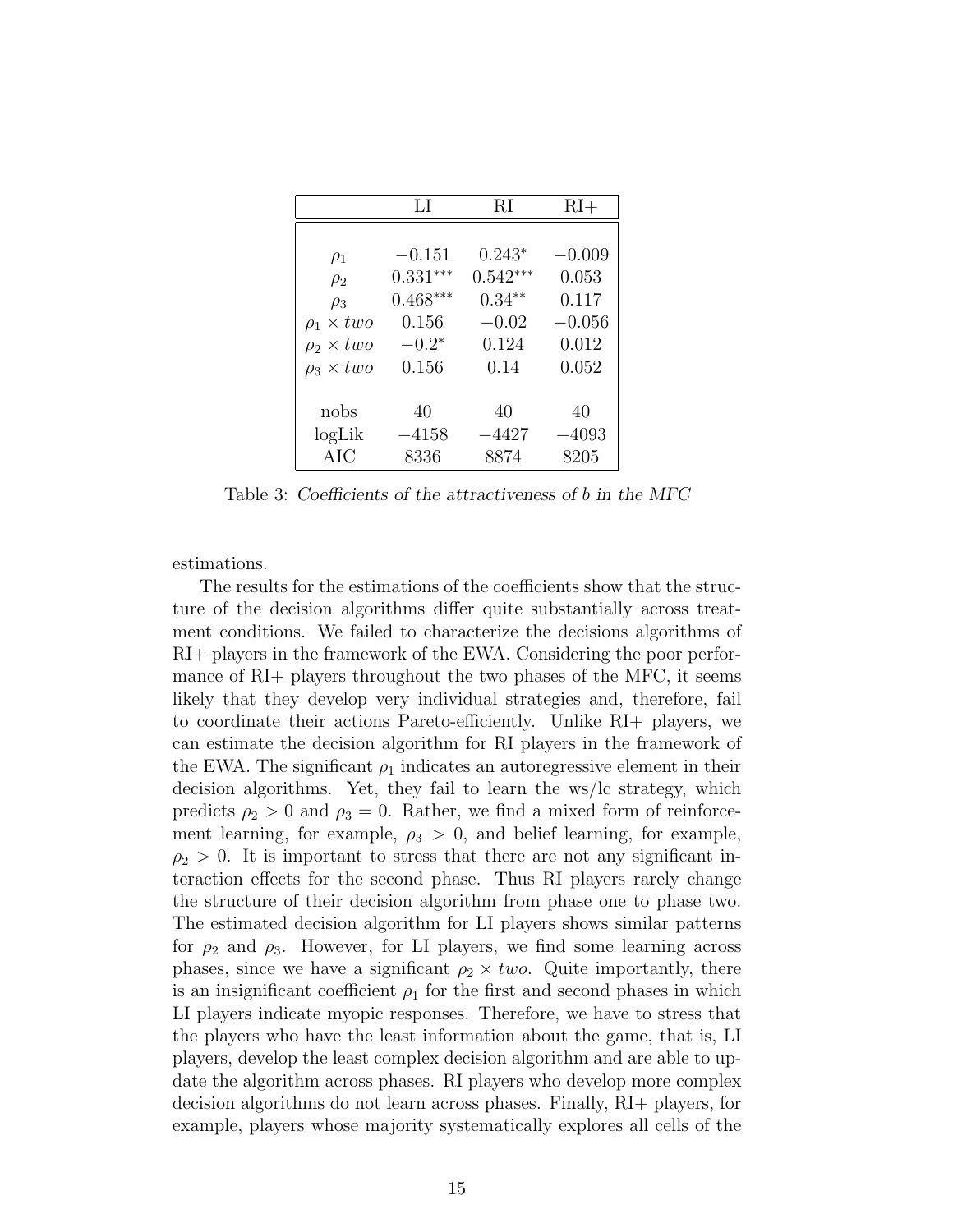|                     | LI         | RI         | $RI+$    |
|---------------------|------------|------------|----------|
|                     |            |            |          |
| $\rho_1$            | $-0.151$   | $0.243*$   | $-0.009$ |
| $\rho_2$            | $0.331***$ | $0.542***$ | 0.053    |
| $\rho_3$            | $0.468***$ | $0.34**$   | 0.117    |
| $\rho_1 \times two$ | 0.156      | $-0.02$    | $-0.056$ |
| $\rho_2 \times two$ | $-0.2^*$   | 0.124      | 0.012    |
| $\rho_3 \times two$ | 0.156      | 0.14       | 0.052    |
|                     |            |            |          |
| nobs                | 40         | 40         | 40       |
| logLik              | $-4158$    | $-4427$    | $-4093$  |
| AIC                 | 8336       | 8874       | 8205     |

Table 3: Coefficients of the attractiveness of b in the MFC

estimations.

The results for the estimations of the coefficients show that the structure of the decision algorithms differ quite substantially across treatment conditions. We failed to characterize the decisions algorithms of RI+ players in the framework of the EWA. Considering the poor performance of RI+ players throughout the two phases of the MFC, it seems likely that they develop very individual strategies and, therefore, fail to coordinate their actions Pareto-efficiently. Unlike RI+ players, we can estimate the decision algorithm for RI players in the framework of the EWA. The significant  $\rho_1$  indicates an autoregressive element in their decision algorithms. Yet, they fail to learn the ws/lc strategy, which predicts  $\rho_2 > 0$  and  $\rho_3 = 0$ . Rather, we find a mixed form of reinforcement learning, for example,  $\rho_3 > 0$ , and belief learning, for example,  $\rho_2 > 0$ . It is important to stress that there are not any significant interaction effects for the second phase. Thus RI players rarely change the structure of their decision algorithm from phase one to phase two. The estimated decision algorithm for LI players shows similar patterns for  $\rho_2$  and  $\rho_3$ . However, for LI players, we find some learning across phases, since we have a significant  $\rho_2 \times two$ . Quite importantly, there is an insignificant coefficient  $\rho_1$  for the first and second phases in which LI players indicate myopic responses. Therefore, we have to stress that the players who have the least information about the game, that is, LI players, develop the least complex decision algorithm and are able to update the algorithm across phases. RI players who develop more complex decision algorithms do not learn across phases. Finally, RI+ players, for example, players whose majority systematically explores all cells of the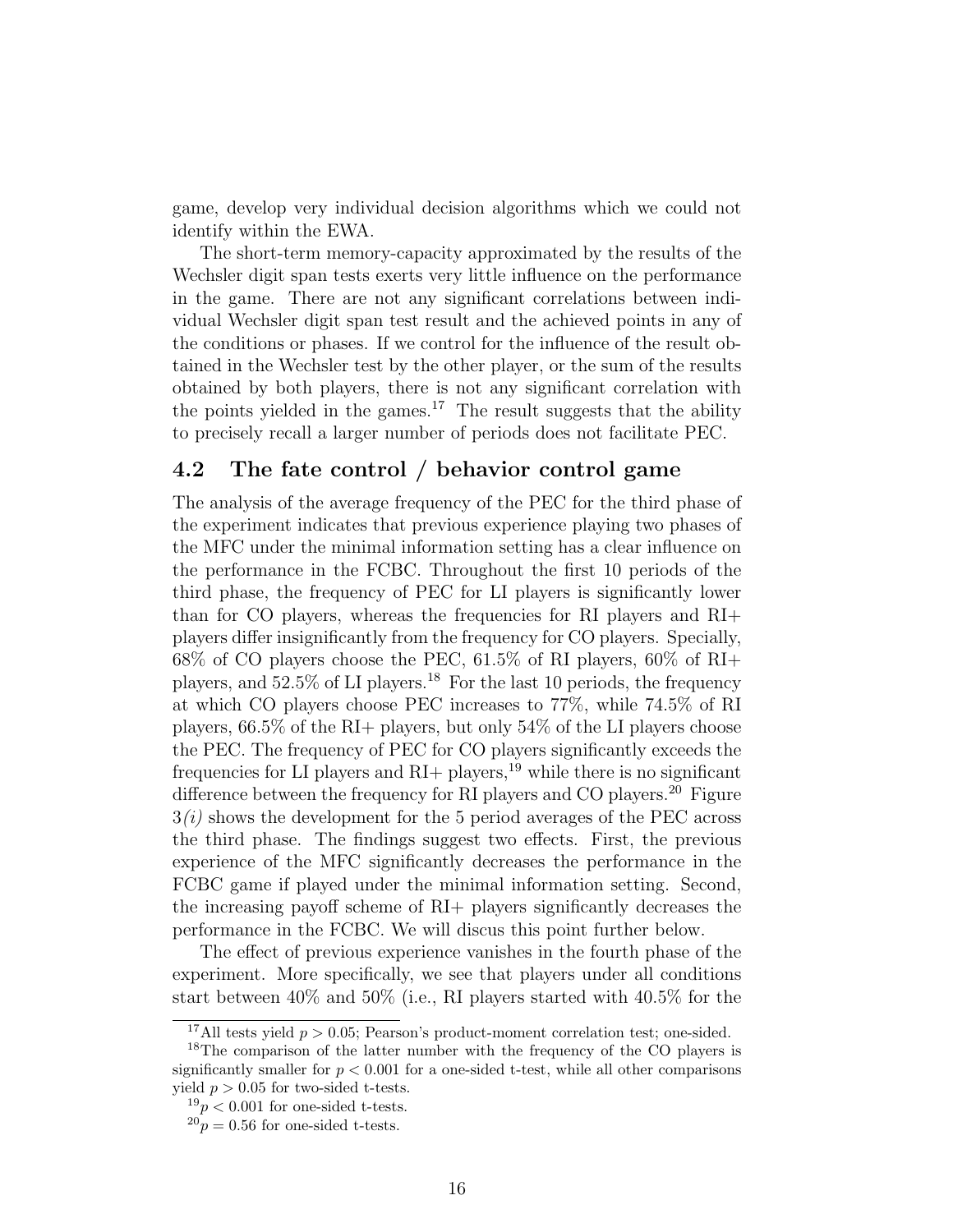game, develop very individual decision algorithms which we could not identify within the EWA.

The short-term memory-capacity approximated by the results of the Wechsler digit span tests exerts very little influence on the performance in the game. There are not any significant correlations between individual Wechsler digit span test result and the achieved points in any of the conditions or phases. If we control for the influence of the result obtained in the Wechsler test by the other player, or the sum of the results obtained by both players, there is not any significant correlation with the points yielded in the games.<sup>17</sup> The result suggests that the ability to precisely recall a larger number of periods does not facilitate PEC.

# 4.2 The fate control / behavior control game

The analysis of the average frequency of the PEC for the third phase of the experiment indicates that previous experience playing two phases of the MFC under the minimal information setting has a clear influence on the performance in the FCBC. Throughout the first 10 periods of the third phase, the frequency of PEC for LI players is significantly lower than for CO players, whereas the frequencies for RI players and RI+ players differ insignificantly from the frequency for CO players. Specially,  $68\%$  of CO players choose the PEC,  $61.5\%$  of RI players,  $60\%$  of RI+ players, and  $52.5\%$  of LI players.<sup>18</sup> For the last 10 periods, the frequency at which CO players choose PEC increases to 77%, while 74.5% of RI players, 66.5% of the RI+ players, but only 54% of the LI players choose the PEC. The frequency of PEC for CO players significantly exceeds the frequencies for LI players and  $RI+$  players,<sup>19</sup> while there is no significant difference between the frequency for RI players and CO players.<sup>20</sup> Figure  $3(i)$  shows the development for the 5 period averages of the PEC across the third phase. The findings suggest two effects. First, the previous experience of the MFC significantly decreases the performance in the FCBC game if played under the minimal information setting. Second, the increasing payoff scheme of RI+ players significantly decreases the performance in the FCBC. We will discus this point further below.

The effect of previous experience vanishes in the fourth phase of the experiment. More specifically, we see that players under all conditions start between 40% and 50% (i.e., RI players started with 40.5% for the

<sup>&</sup>lt;sup>17</sup>All tests yield  $p > 0.05$ ; Pearson's product-moment correlation test; one-sided.

<sup>&</sup>lt;sup>18</sup>The comparison of the latter number with the frequency of the CO players is significantly smaller for  $p < 0.001$  for a one-sided t-test, while all other comparisons yield  $p > 0.05$  for two-sided t-tests.

 $19p < 0.001$  for one-sided t-tests.

 $^{20}p = 0.56$  for one-sided t-tests.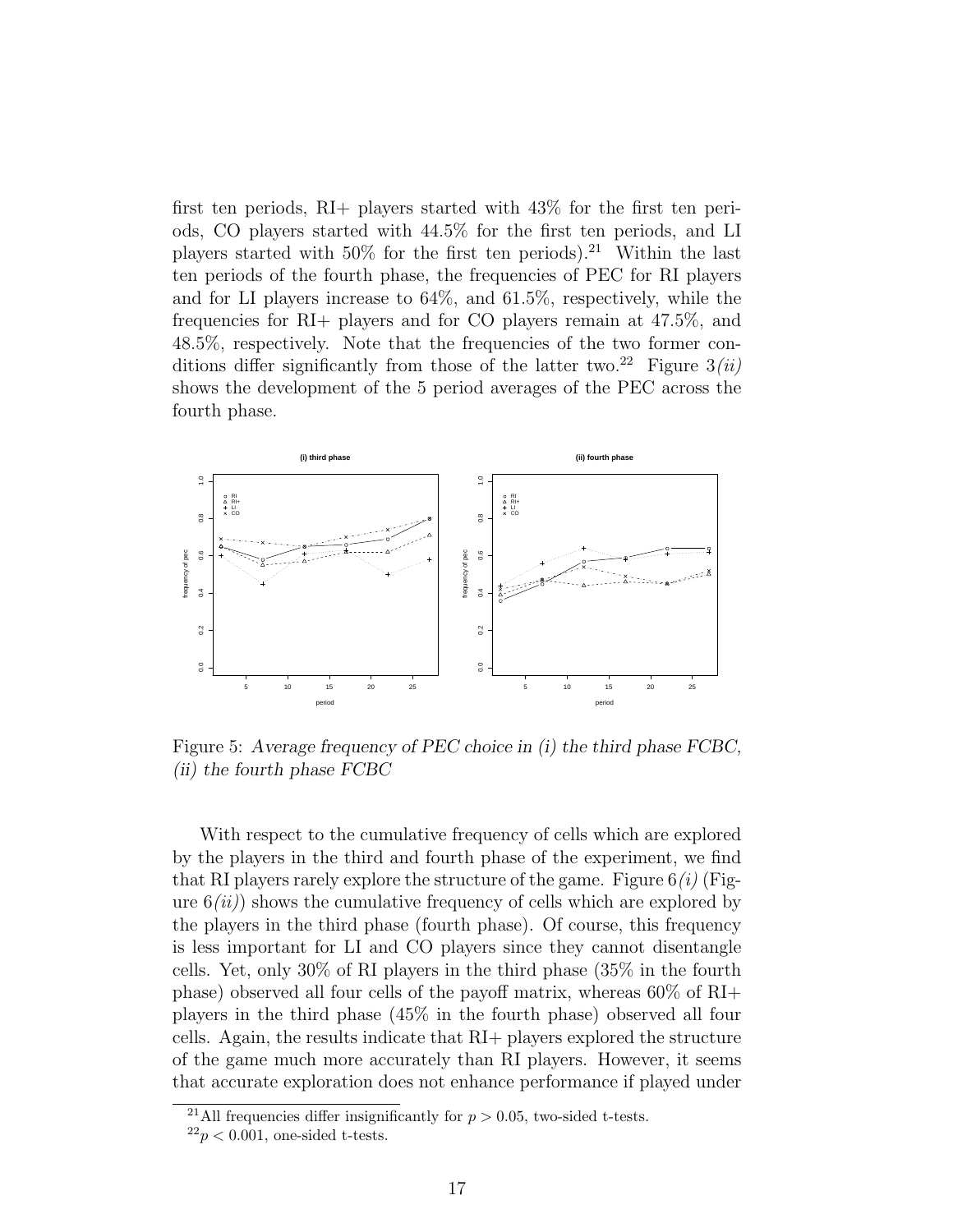first ten periods, RI+ players started with 43% for the first ten periods, CO players started with 44.5% for the first ten periods, and LI players started with  $50\%$  for the first ten periods).<sup>21</sup> Within the last ten periods of the fourth phase, the frequencies of PEC for RI players and for LI players increase to 64%, and 61.5%, respectively, while the frequencies for RI+ players and for CO players remain at 47.5%, and 48.5%, respectively. Note that the frequencies of the two former conditions differ significantly from those of the latter two.<sup>22</sup> Figure  $3(ii)$ shows the development of the 5 period averages of the PEC across the fourth phase.



Figure 5: Average frequency of PEC choice in (i) the third phase FCBC, (ii) the fourth phase FCBC

With respect to the cumulative frequency of cells which are explored by the players in the third and fourth phase of the experiment, we find that RI players rarely explore the structure of the game. Figure  $6(i)$  (Figure  $6(ii)$  shows the cumulative frequency of cells which are explored by the players in the third phase (fourth phase). Of course, this frequency is less important for LI and CO players since they cannot disentangle cells. Yet, only 30% of RI players in the third phase (35% in the fourth phase) observed all four cells of the payoff matrix, whereas 60% of RI+ players in the third phase (45% in the fourth phase) observed all four cells. Again, the results indicate that RI+ players explored the structure of the game much more accurately than RI players. However, it seems that accurate exploration does not enhance performance if played under

<sup>&</sup>lt;sup>21</sup>All frequencies differ insignificantly for  $p > 0.05$ , two-sided t-tests.

 $2^2p < 0.001$ , one-sided t-tests.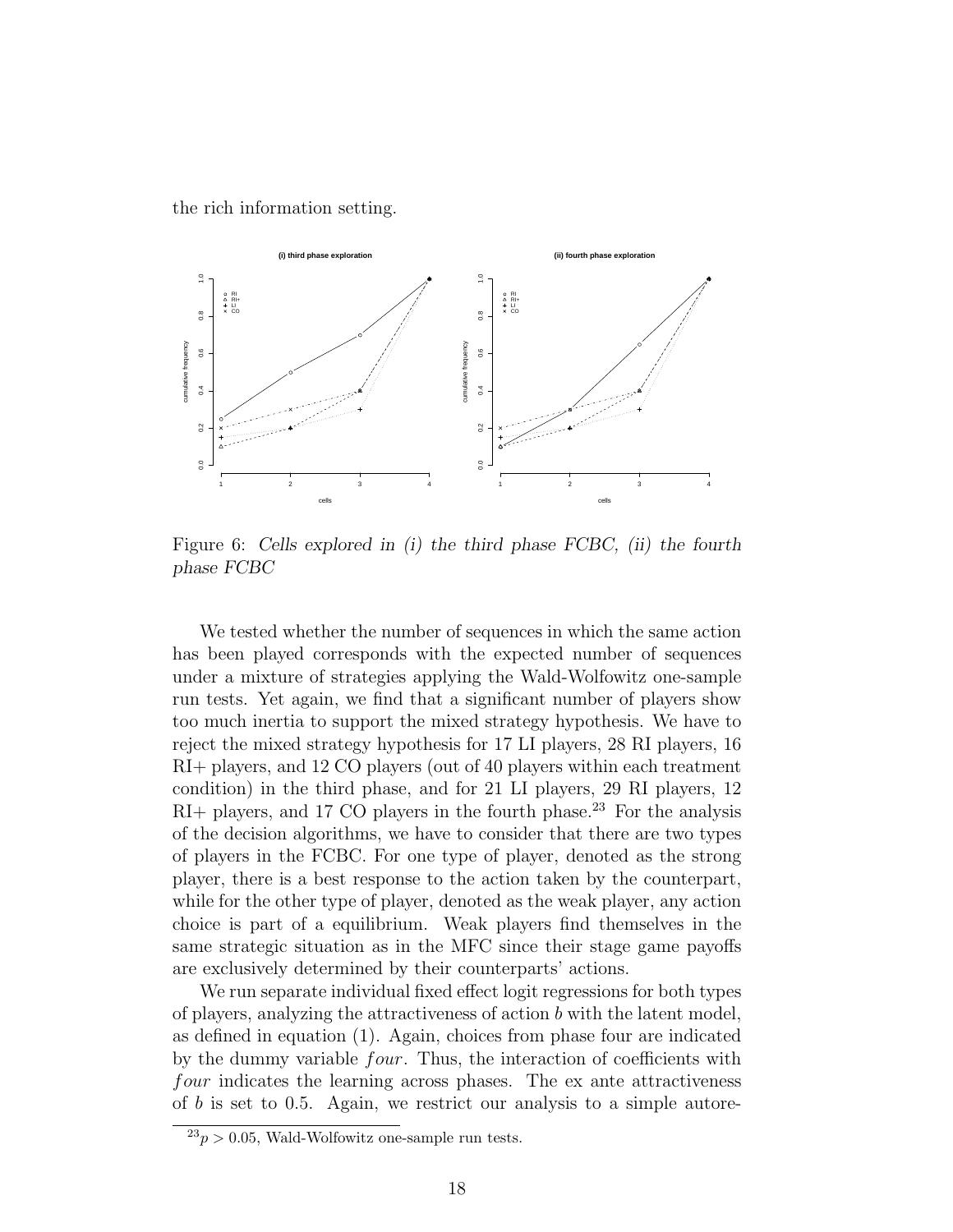the rich information setting.



Figure 6: Cells explored in (i) the third phase FCBC, (ii) the fourth phase FCBC

We tested whether the number of sequences in which the same action has been played corresponds with the expected number of sequences under a mixture of strategies applying the Wald-Wolfowitz one-sample run tests. Yet again, we find that a significant number of players show too much inertia to support the mixed strategy hypothesis. We have to reject the mixed strategy hypothesis for 17 LI players, 28 RI players, 16 RI+ players, and 12 CO players (out of 40 players within each treatment condition) in the third phase, and for 21 LI players, 29 RI players, 12  $RI+$  players, and 17 CO players in the fourth phase.<sup>23</sup> For the analysis of the decision algorithms, we have to consider that there are two types of players in the FCBC. For one type of player, denoted as the strong player, there is a best response to the action taken by the counterpart, while for the other type of player, denoted as the weak player, any action choice is part of a equilibrium. Weak players find themselves in the same strategic situation as in the MFC since their stage game payoffs are exclusively determined by their counterparts' actions.

We run separate individual fixed effect logit regressions for both types of players, analyzing the attractiveness of action b with the latent model, as defined in equation (1). Again, choices from phase four are indicated by the dummy variable *four*. Thus, the interaction of coefficients with four indicates the learning across phases. The ex ante attractiveness of  $b$  is set to 0.5. Again, we restrict our analysis to a simple autore-

 $^{23}p > 0.05$ , Wald-Wolfowitz one-sample run tests.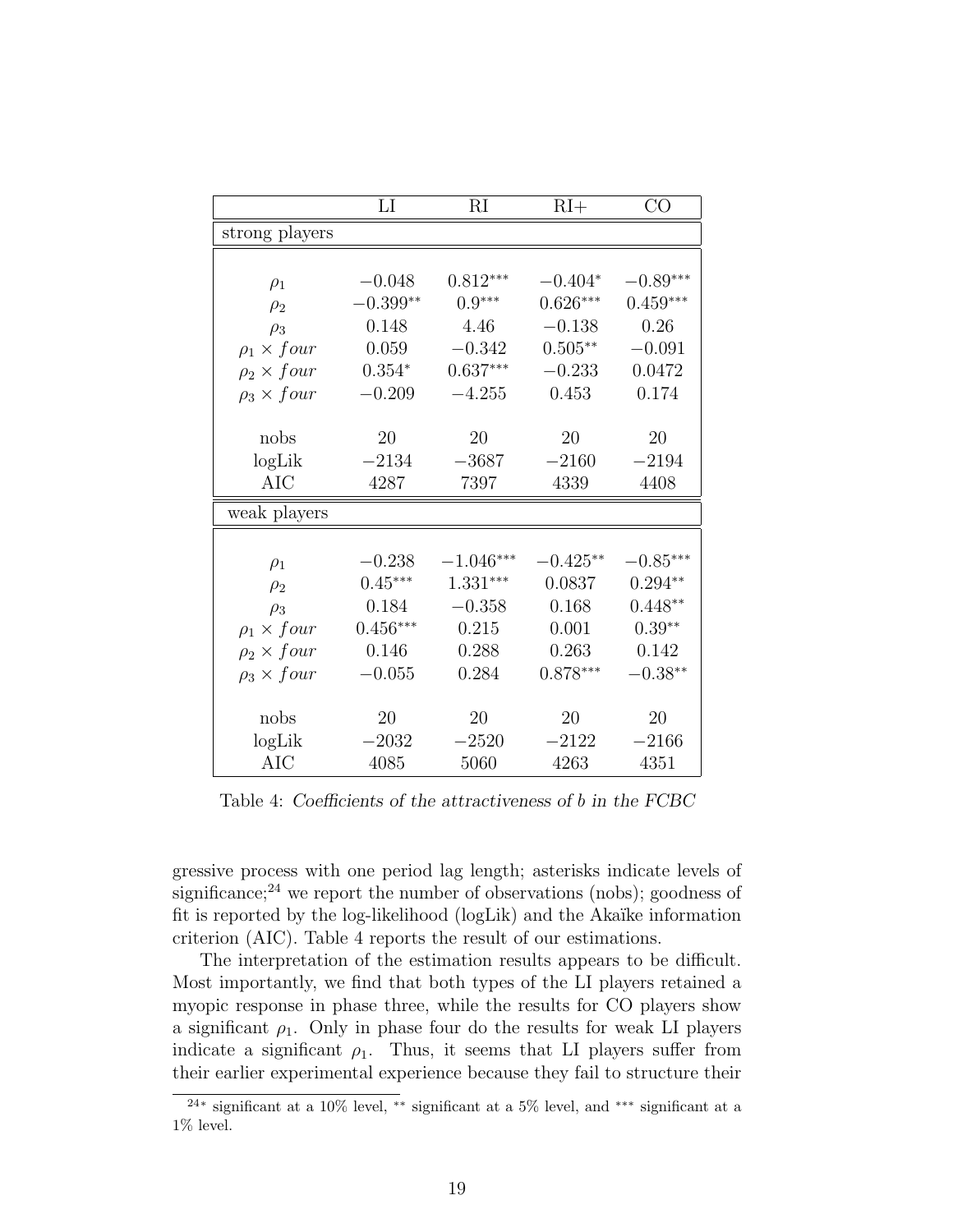| LI<br>$\rm RI$                                 | $RI+$      | $\overline{CO}$ |
|------------------------------------------------|------------|-----------------|
| strong players                                 |            |                 |
|                                                |            |                 |
| $-0.048$<br>$0.812***$<br>$\rho_1$             | $-0.404*$  | $-0.89***$      |
| $0.9***$<br>$-0.399**$<br>$\rho_2$             | $0.626***$ | $0.459***$      |
| 0.148<br>4.46<br>$\rho_3$                      | $-0.138$   | 0.26            |
| 0.059<br>$-0.342$<br>$\rho_1 \times four$      | $0.505**$  | $-0.091$        |
| $0.354*$<br>$0.637***$<br>$\rho_2 \times four$ | $-0.233$   | 0.0472          |
| $-0.209$<br>$-4.255$<br>$\rho_3 \times four$   | 0.453      | 0.174           |
|                                                |            |                 |
| 20<br>20<br>nobs                               | 20         | 20              |
| $-3687$<br>log <sub>Li</sub><br>$-2134$        | $-2160$    | $-2194$         |
| AIC<br>4287<br>7397                            | 4339       | 4408            |
| weak players                                   |            |                 |
|                                                |            |                 |
| $-0.238$<br>$-1.046***$<br>$\rho_1$            | $-0.425**$ | $-0.85***$      |
| $0.45***$<br>$1.331***$<br>$\rho_2$            | 0.0837     | $0.294**$       |
| 0.184<br>$-0.358$<br>$\rho_3$                  | 0.168      | $0.448**$       |
| $0.456***$<br>0.215<br>$\rho_1 \times four$    | 0.001      | $0.39**$        |
| 0.146<br>0.288<br>$\rho_2 \times four$         | 0.263      | 0.142           |
| $-0.055$<br>0.284<br>$\rho_3 \times four$      | $0.878***$ | $-0.38**$       |
| nobs<br>20<br>20                               | 20         | 20              |
| logLik<br>$-2032$<br>$-2520$                   | $-2122$    | $-2166$         |
| <b>AIC</b><br>4085<br>5060                     | 4263       | 4351            |

Table 4: Coefficients of the attractiveness of b in the FCBC

gressive process with one period lag length; asterisks indicate levels of significance;<sup>24</sup> we report the number of observations (nobs); goodness of fit is reported by the log-likelihood (logLik) and the Akaïke information criterion (AIC). Table 4 reports the result of our estimations.

The interpretation of the estimation results appears to be difficult. Most importantly, we find that both types of the LI players retained a myopic response in phase three, while the results for CO players show a significant  $\rho_1$ . Only in phase four do the results for weak LI players indicate a significant  $\rho_1$ . Thus, it seems that LI players suffer from their earlier experimental experience because they fail to structure their

<sup>24</sup>∗ significant at a 10% level, ∗∗ significant at a 5% level, and ∗∗∗ significant at a 1% level.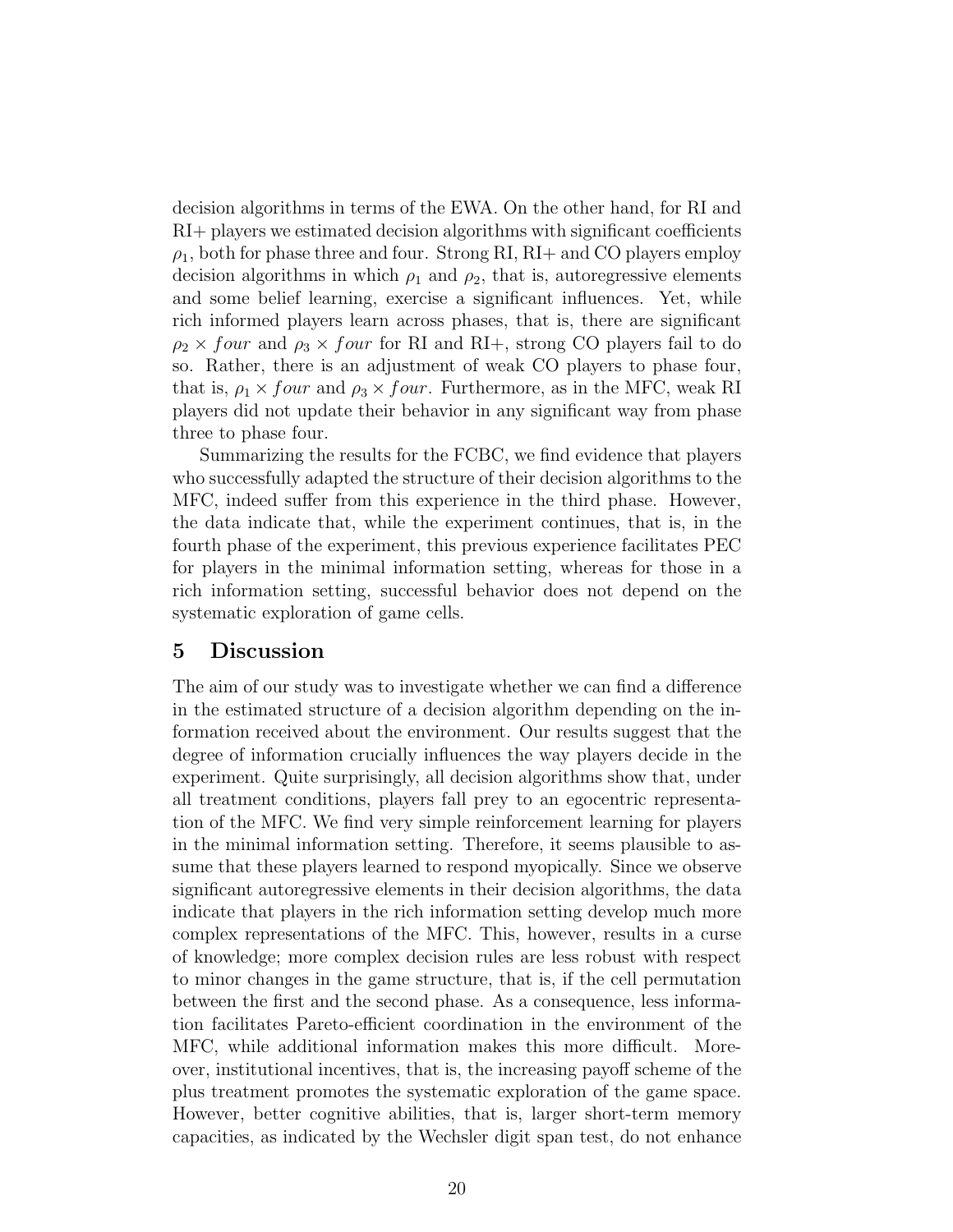decision algorithms in terms of the EWA. On the other hand, for RI and RI+ players we estimated decision algorithms with significant coefficients  $\rho_1$ , both for phase three and four. Strong RI, RI+ and CO players employ decision algorithms in which  $\rho_1$  and  $\rho_2$ , that is, autoregressive elements and some belief learning, exercise a significant influences. Yet, while rich informed players learn across phases, that is, there are significant  $\rho_2 \times$  four and  $\rho_3 \times$  four for RI and RI+, strong CO players fail to do so. Rather, there is an adjustment of weak CO players to phase four, that is,  $\rho_1 \times four$  and  $\rho_3 \times four$ . Furthermore, as in the MFC, weak RI players did not update their behavior in any significant way from phase three to phase four.

Summarizing the results for the FCBC, we find evidence that players who successfully adapted the structure of their decision algorithms to the MFC, indeed suffer from this experience in the third phase. However, the data indicate that, while the experiment continues, that is, in the fourth phase of the experiment, this previous experience facilitates PEC for players in the minimal information setting, whereas for those in a rich information setting, successful behavior does not depend on the systematic exploration of game cells.

#### 5 Discussion

The aim of our study was to investigate whether we can find a difference in the estimated structure of a decision algorithm depending on the information received about the environment. Our results suggest that the degree of information crucially influences the way players decide in the experiment. Quite surprisingly, all decision algorithms show that, under all treatment conditions, players fall prey to an egocentric representation of the MFC. We find very simple reinforcement learning for players in the minimal information setting. Therefore, it seems plausible to assume that these players learned to respond myopically. Since we observe significant autoregressive elements in their decision algorithms, the data indicate that players in the rich information setting develop much more complex representations of the MFC. This, however, results in a curse of knowledge; more complex decision rules are less robust with respect to minor changes in the game structure, that is, if the cell permutation between the first and the second phase. As a consequence, less information facilitates Pareto-efficient coordination in the environment of the MFC, while additional information makes this more difficult. Moreover, institutional incentives, that is, the increasing payoff scheme of the plus treatment promotes the systematic exploration of the game space. However, better cognitive abilities, that is, larger short-term memory capacities, as indicated by the Wechsler digit span test, do not enhance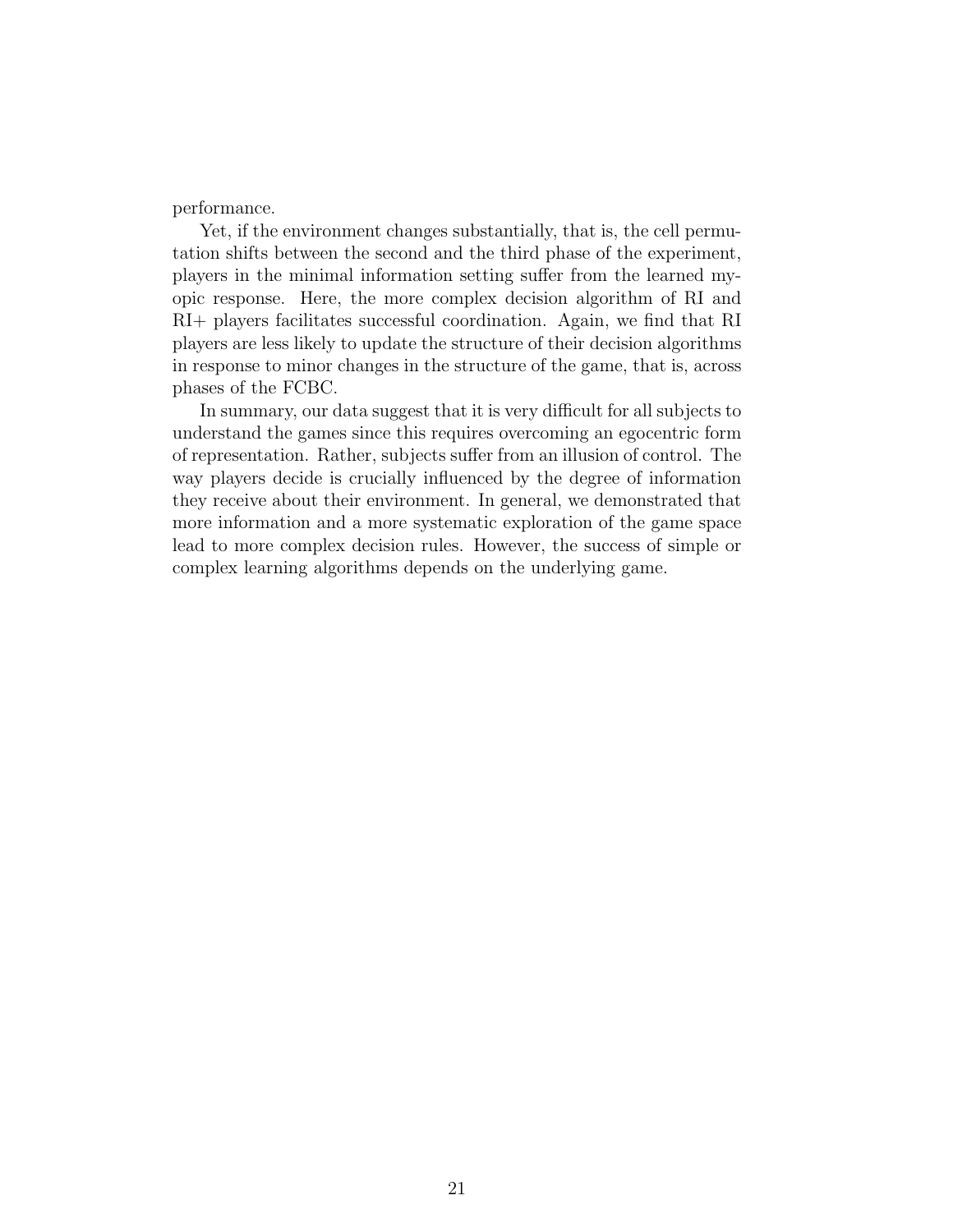performance.

Yet, if the environment changes substantially, that is, the cell permutation shifts between the second and the third phase of the experiment, players in the minimal information setting suffer from the learned myopic response. Here, the more complex decision algorithm of RI and RI+ players facilitates successful coordination. Again, we find that RI players are less likely to update the structure of their decision algorithms in response to minor changes in the structure of the game, that is, across phases of the FCBC.

In summary, our data suggest that it is very difficult for all subjects to understand the games since this requires overcoming an egocentric form of representation. Rather, subjects suffer from an illusion of control. The way players decide is crucially influenced by the degree of information they receive about their environment. In general, we demonstrated that more information and a more systematic exploration of the game space lead to more complex decision rules. However, the success of simple or complex learning algorithms depends on the underlying game.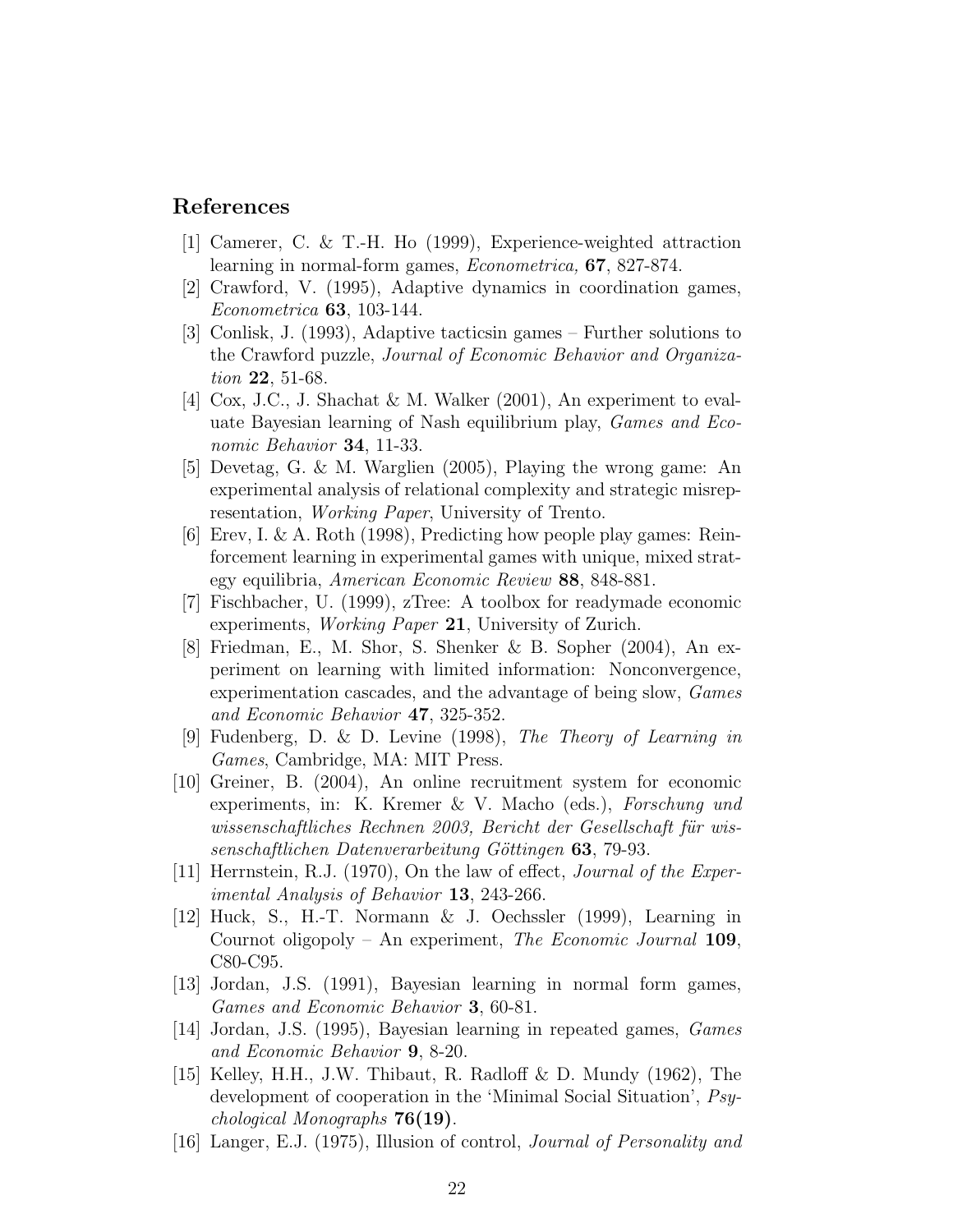### References

- [1] Camerer, C. & T.-H. Ho (1999), Experience-weighted attraction learning in normal-form games, Econometrica, 67, 827-874.
- [2] Crawford, V. (1995), Adaptive dynamics in coordination games, Econometrica 63, 103-144.
- [3] Conlisk, J. (1993), Adaptive tacticsin games Further solutions to the Crawford puzzle, Journal of Economic Behavior and Organization 22, 51-68.
- [4] Cox, J.C., J. Shachat & M. Walker (2001), An experiment to evaluate Bayesian learning of Nash equilibrium play, Games and Economic Behavior 34, 11-33.
- [5] Devetag, G. & M. Warglien (2005), Playing the wrong game: An experimental analysis of relational complexity and strategic misrepresentation, Working Paper, University of Trento.
- [6] Erev, I. & A. Roth (1998), Predicting how people play games: Reinforcement learning in experimental games with unique, mixed strategy equilibria, American Economic Review 88, 848-881.
- [7] Fischbacher, U. (1999), zTree: A toolbox for readymade economic experiments, Working Paper 21, University of Zurich.
- [8] Friedman, E., M. Shor, S. Shenker & B. Sopher (2004), An experiment on learning with limited information: Nonconvergence, experimentation cascades, and the advantage of being slow, Games and Economic Behavior 47, 325-352.
- [9] Fudenberg, D. & D. Levine (1998), The Theory of Learning in Games, Cambridge, MA: MIT Press.
- [10] Greiner, B. (2004), An online recruitment system for economic experiments, in: K. Kremer & V. Macho (eds.), Forschung und wissenschaftliches Rechnen 2003, Bericht der Gesellschaft für wissenschaftlichen Datenverarbeitung Göttingen 63, 79-93.
- [11] Herrnstein, R.J. (1970), On the law of effect, *Journal of the Exper*imental Analysis of Behavior 13, 243-266.
- [12] Huck, S., H.-T. Normann & J. Oechssler (1999), Learning in Cournot oligopoly – An experiment, The Economic Journal 109, C80-C95.
- [13] Jordan, J.S. (1991), Bayesian learning in normal form games, Games and Economic Behavior 3, 60-81.
- [14] Jordan, J.S. (1995), Bayesian learning in repeated games, Games and Economic Behavior 9, 8-20.
- [15] Kelley, H.H., J.W. Thibaut, R. Radloff & D. Mundy (1962), The development of cooperation in the 'Minimal Social Situation', Psychological Monographs 76(19).
- [16] Langer, E.J. (1975), Illusion of control, Journal of Personality and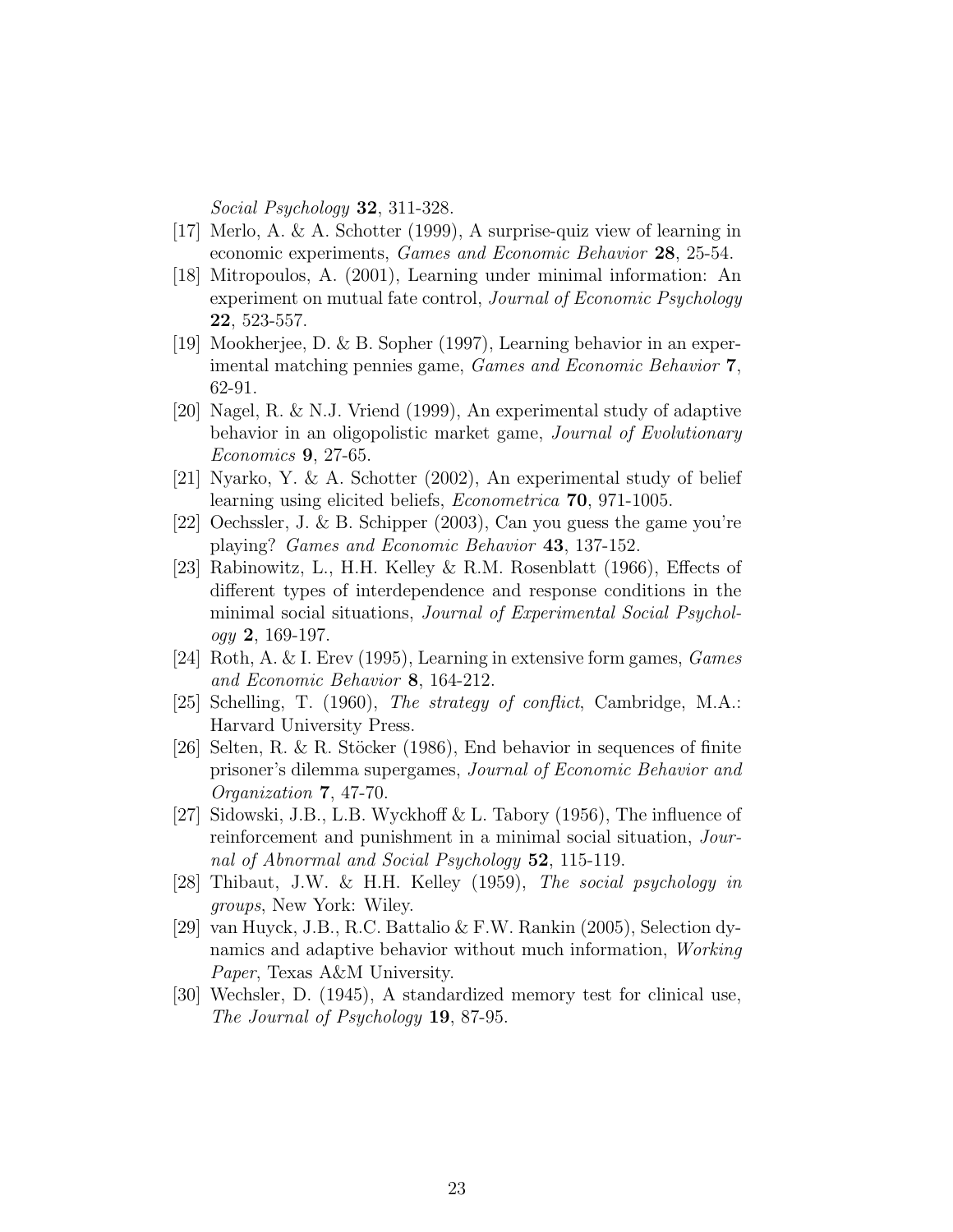Social Psychology 32, 311-328.

- [17] Merlo, A. & A. Schotter (1999), A surprise-quiz view of learning in economic experiments, Games and Economic Behavior 28, 25-54.
- [18] Mitropoulos, A. (2001), Learning under minimal information: An experiment on mutual fate control, Journal of Economic Psychology 22, 523-557.
- [19] Mookherjee, D. & B. Sopher (1997), Learning behavior in an experimental matching pennies game, Games and Economic Behavior 7, 62-91.
- [20] Nagel, R. & N.J. Vriend (1999), An experimental study of adaptive behavior in an oligopolistic market game, Journal of Evolutionary Economics 9, 27-65.
- [21] Nyarko, Y. & A. Schotter (2002), An experimental study of belief learning using elicited beliefs, Econometrica 70, 971-1005.
- [22] Oechssler, J. & B. Schipper (2003), Can you guess the game you're playing? Games and Economic Behavior 43, 137-152.
- [23] Rabinowitz, L., H.H. Kelley & R.M. Rosenblatt (1966), Effects of different types of interdependence and response conditions in the minimal social situations, Journal of Experimental Social Psychology 2, 169-197.
- [24] Roth, A. & I. Erev (1995), Learning in extensive form games, Games and Economic Behavior 8, 164-212.
- [25] Schelling, T. (1960), The strategy of conflict, Cambridge, M.A.: Harvard University Press.
- [26] Selten, R. & R. Stöcker (1986), End behavior in sequences of finite prisoner's dilemma supergames, Journal of Economic Behavior and Organization 7, 47-70.
- [27] Sidowski, J.B., L.B. Wyckhoff & L. Tabory (1956), The influence of reinforcement and punishment in a minimal social situation, Journal of Abnormal and Social Psychology 52, 115-119.
- [28] Thibaut, J.W. & H.H. Kelley (1959), The social psychology in groups, New York: Wiley.
- [29] van Huyck, J.B., R.C. Battalio & F.W. Rankin (2005), Selection dynamics and adaptive behavior without much information, Working Paper, Texas A&M University.
- [30] Wechsler, D. (1945), A standardized memory test for clinical use, The Journal of Psychology 19, 87-95.